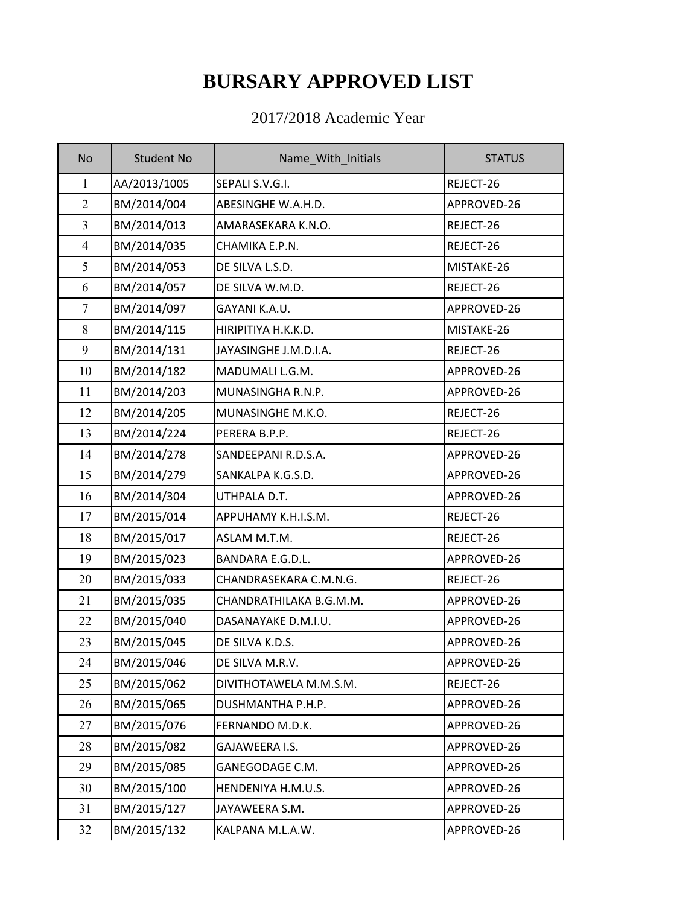## **BURSARY APPROVED LIST**

## 2017/2018 Academic Year

| <b>No</b>      | <b>Student No</b> | Name_With_Initials      | <b>STATUS</b> |
|----------------|-------------------|-------------------------|---------------|
| $\mathbf{1}$   | AA/2013/1005      | SEPALI S.V.G.I.         | REJECT-26     |
| $\overline{2}$ | BM/2014/004       | ABESINGHE W.A.H.D.      | APPROVED-26   |
| $\overline{3}$ | BM/2014/013       | AMARASEKARA K.N.O.      | REJECT-26     |
| $\overline{4}$ | BM/2014/035       | CHAMIKA E.P.N.          | REJECT-26     |
| 5              | BM/2014/053       | DE SILVA L.S.D.         | MISTAKE-26    |
| 6              | BM/2014/057       | DE SILVA W.M.D.         | REJECT-26     |
| $\tau$         | BM/2014/097       | GAYANI K.A.U.           | APPROVED-26   |
| 8              | BM/2014/115       | HIRIPITIYA H.K.K.D.     | MISTAKE-26    |
| 9              | BM/2014/131       | JAYASINGHE J.M.D.I.A.   | REJECT-26     |
| 10             | BM/2014/182       | MADUMALI L.G.M.         | APPROVED-26   |
| 11             | BM/2014/203       | MUNASINGHA R.N.P.       | APPROVED-26   |
| 12             | BM/2014/205       | MUNASINGHE M.K.O.       | REJECT-26     |
| 13             | BM/2014/224       | PERERA B.P.P.           | REJECT-26     |
| 14             | BM/2014/278       | SANDEEPANI R.D.S.A.     | APPROVED-26   |
| 15             | BM/2014/279       | SANKALPA K.G.S.D.       | APPROVED-26   |
| 16             | BM/2014/304       | UTHPALA D.T.            | APPROVED-26   |
| 17             | BM/2015/014       | APPUHAMY K.H.I.S.M.     | REJECT-26     |
| 18             | BM/2015/017       | ASLAM M.T.M.            | REJECT-26     |
| 19             | BM/2015/023       | <b>BANDARA E.G.D.L.</b> | APPROVED-26   |
| 20             | BM/2015/033       | CHANDRASEKARA C.M.N.G.  | REJECT-26     |
| 21             | BM/2015/035       | CHANDRATHILAKA B.G.M.M. | APPROVED-26   |
| 22             | BM/2015/040       | DASANAYAKE D.M.I.U.     | APPROVED-26   |
| 23             | BM/2015/045       | DE SILVA K.D.S.         | APPROVED-26   |
| 24             | BM/2015/046       | DE SILVA M.R.V.         | APPROVED-26   |
| 25             | BM/2015/062       | DIVITHOTAWELA M.M.S.M.  | REJECT-26     |
| 26             | BM/2015/065       | DUSHMANTHA P.H.P.       | APPROVED-26   |
| 27             | BM/2015/076       | FERNANDO M.D.K.         | APPROVED-26   |
| 28             | BM/2015/082       | GAJAWEERA I.S.          | APPROVED-26   |
| 29             | BM/2015/085       | GANEGODAGE C.M.         | APPROVED-26   |
| 30             | BM/2015/100       | HENDENIYA H.M.U.S.      | APPROVED-26   |
| 31             | BM/2015/127       | JAYAWEERA S.M.          | APPROVED-26   |
| 32             | BM/2015/132       | KALPANA M.L.A.W.        | APPROVED-26   |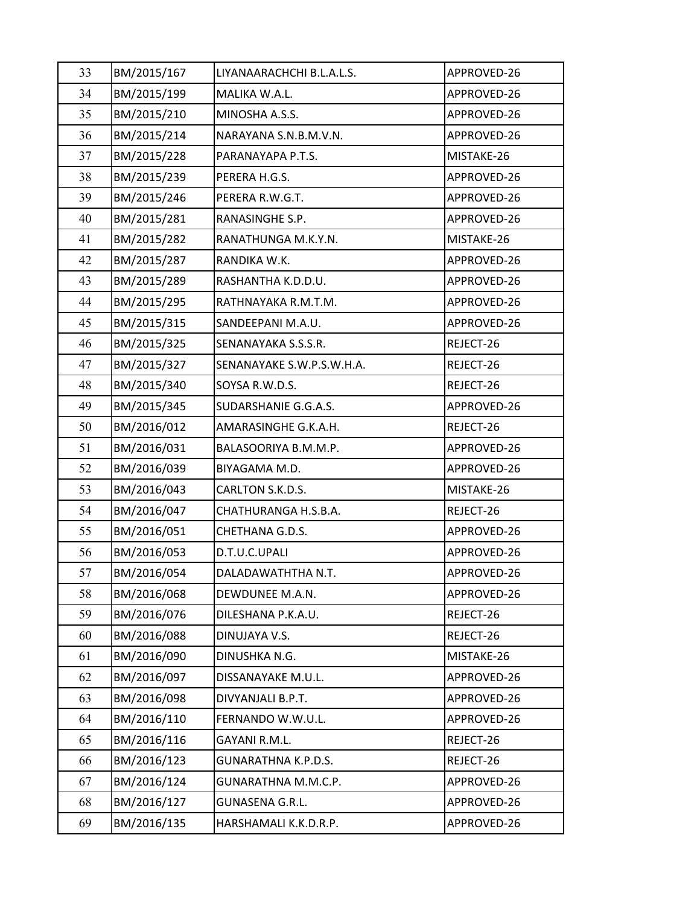| 33 | BM/2015/167 | LIYANAARACHCHI B.L.A.L.S. | APPROVED-26 |
|----|-------------|---------------------------|-------------|
| 34 | BM/2015/199 | MALIKA W.A.L.             | APPROVED-26 |
| 35 | BM/2015/210 | MINOSHA A.S.S.            | APPROVED-26 |
| 36 | BM/2015/214 | NARAYANA S.N.B.M.V.N.     | APPROVED-26 |
| 37 | BM/2015/228 | PARANAYAPA P.T.S.         | MISTAKE-26  |
| 38 | BM/2015/239 | PERERA H.G.S.             | APPROVED-26 |
| 39 | BM/2015/246 | PERERA R.W.G.T.           | APPROVED-26 |
| 40 | BM/2015/281 | RANASINGHE S.P.           | APPROVED-26 |
| 41 | BM/2015/282 | RANATHUNGA M.K.Y.N.       | MISTAKE-26  |
| 42 | BM/2015/287 | RANDIKA W.K.              | APPROVED-26 |
| 43 | BM/2015/289 | RASHANTHA K.D.D.U.        | APPROVED-26 |
| 44 | BM/2015/295 | RATHNAYAKA R.M.T.M.       | APPROVED-26 |
| 45 | BM/2015/315 | SANDEEPANI M.A.U.         | APPROVED-26 |
| 46 | BM/2015/325 | SENANAYAKA S.S.S.R.       | REJECT-26   |
| 47 | BM/2015/327 | SENANAYAKE S.W.P.S.W.H.A. | REJECT-26   |
| 48 | BM/2015/340 | SOYSA R.W.D.S.            | REJECT-26   |
| 49 | BM/2015/345 | SUDARSHANIE G.G.A.S.      | APPROVED-26 |
| 50 | BM/2016/012 | AMARASINGHE G.K.A.H.      | REJECT-26   |
| 51 | BM/2016/031 | BALASOORIYA B.M.M.P.      | APPROVED-26 |
| 52 | BM/2016/039 | BIYAGAMA M.D.             | APPROVED-26 |
| 53 | BM/2016/043 | CARLTON S.K.D.S.          | MISTAKE-26  |
| 54 | BM/2016/047 | CHATHURANGA H.S.B.A.      | REJECT-26   |
| 55 | BM/2016/051 | CHETHANA G.D.S.           | APPROVED-26 |
| 56 | BM/2016/053 | D.T.U.C.UPALI             | APPROVED-26 |
| 57 | BM/2016/054 | DALADAWATHTHA N.T.        | APPROVED-26 |
| 58 | BM/2016/068 | DEWDUNEE M.A.N.           | APPROVED-26 |
| 59 | BM/2016/076 | DILESHANA P.K.A.U.        | REJECT-26   |
| 60 | BM/2016/088 | DINUJAYA V.S.             | REJECT-26   |
| 61 | BM/2016/090 | DINUSHKA N.G.             | MISTAKE-26  |
| 62 | BM/2016/097 | DISSANAYAKE M.U.L.        | APPROVED-26 |
| 63 | BM/2016/098 | DIVYANJALI B.P.T.         | APPROVED-26 |
| 64 | BM/2016/110 | FERNANDO W.W.U.L.         | APPROVED-26 |
| 65 | BM/2016/116 | GAYANI R.M.L.             | REJECT-26   |
| 66 | BM/2016/123 | GUNARATHNA K.P.D.S.       | REJECT-26   |
| 67 | BM/2016/124 | GUNARATHNA M.M.C.P.       | APPROVED-26 |
| 68 | BM/2016/127 | GUNASENA G.R.L.           | APPROVED-26 |
| 69 | BM/2016/135 | HARSHAMALI K.K.D.R.P.     | APPROVED-26 |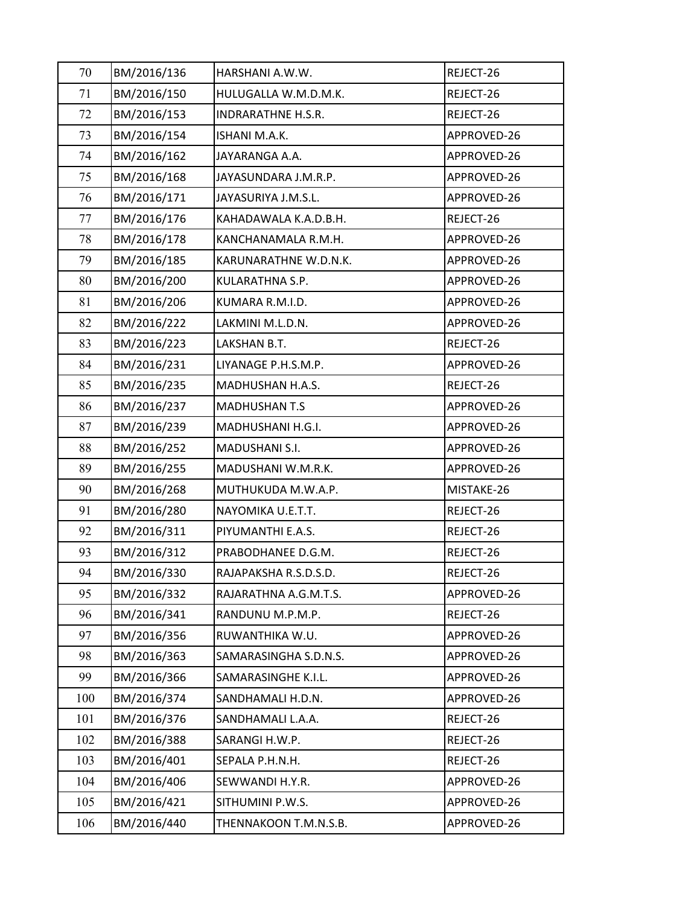| 70  | BM/2016/136 | HARSHANI A.W.W.       | REJECT-26   |
|-----|-------------|-----------------------|-------------|
| 71  | BM/2016/150 | HULUGALLA W.M.D.M.K.  | REJECT-26   |
| 72  | BM/2016/153 | INDRARATHNE H.S.R.    | REJECT-26   |
| 73  | BM/2016/154 | ISHANI M.A.K.         | APPROVED-26 |
| 74  | BM/2016/162 | JAYARANGA A.A.        | APPROVED-26 |
| 75  | BM/2016/168 | JAYASUNDARA J.M.R.P.  | APPROVED-26 |
| 76  | BM/2016/171 | JAYASURIYA J.M.S.L.   | APPROVED-26 |
| 77  | BM/2016/176 | KAHADAWALA K.A.D.B.H. | REJECT-26   |
| 78  | BM/2016/178 | KANCHANAMALA R.M.H.   | APPROVED-26 |
| 79  | BM/2016/185 | KARUNARATHNE W.D.N.K. | APPROVED-26 |
| 80  | BM/2016/200 | KULARATHNA S.P.       | APPROVED-26 |
| 81  | BM/2016/206 | KUMARA R.M.I.D.       | APPROVED-26 |
| 82  | BM/2016/222 | LAKMINI M.L.D.N.      | APPROVED-26 |
| 83  | BM/2016/223 | LAKSHAN B.T.          | REJECT-26   |
| 84  | BM/2016/231 | LIYANAGE P.H.S.M.P.   | APPROVED-26 |
| 85  | BM/2016/235 | MADHUSHAN H.A.S.      | REJECT-26   |
| 86  | BM/2016/237 | <b>MADHUSHAN T.S</b>  | APPROVED-26 |
| 87  | BM/2016/239 | MADHUSHANI H.G.I.     | APPROVED-26 |
| 88  | BM/2016/252 | MADUSHANI S.I.        | APPROVED-26 |
| 89  | BM/2016/255 | MADUSHANI W.M.R.K.    | APPROVED-26 |
| 90  | BM/2016/268 | MUTHUKUDA M.W.A.P.    | MISTAKE-26  |
| 91  | BM/2016/280 | NAYOMIKA U.E.T.T.     | REJECT-26   |
| 92  | BM/2016/311 | PIYUMANTHI E.A.S.     | REJECT-26   |
| 93  | BM/2016/312 | PRABODHANEE D.G.M.    | REJECT-26   |
| 94  | BM/2016/330 | RAJAPAKSHA R.S.D.S.D. | REJECT-26   |
| 95  | BM/2016/332 | RAJARATHNA A.G.M.T.S. | APPROVED-26 |
| 96  | BM/2016/341 | RANDUNU M.P.M.P.      | REJECT-26   |
| 97  | BM/2016/356 | RUWANTHIKA W.U.       | APPROVED-26 |
| 98  | BM/2016/363 | SAMARASINGHA S.D.N.S. | APPROVED-26 |
| 99  | BM/2016/366 | SAMARASINGHE K.I.L.   | APPROVED-26 |
| 100 | BM/2016/374 | SANDHAMALI H.D.N.     | APPROVED-26 |
| 101 | BM/2016/376 | SANDHAMALI L.A.A.     | REJECT-26   |
| 102 | BM/2016/388 | SARANGI H.W.P.        | REJECT-26   |
| 103 | BM/2016/401 | SEPALA P.H.N.H.       | REJECT-26   |
| 104 | BM/2016/406 | SEWWANDI H.Y.R.       | APPROVED-26 |
| 105 | BM/2016/421 | SITHUMINI P.W.S.      | APPROVED-26 |
| 106 | BM/2016/440 | THENNAKOON T.M.N.S.B. | APPROVED-26 |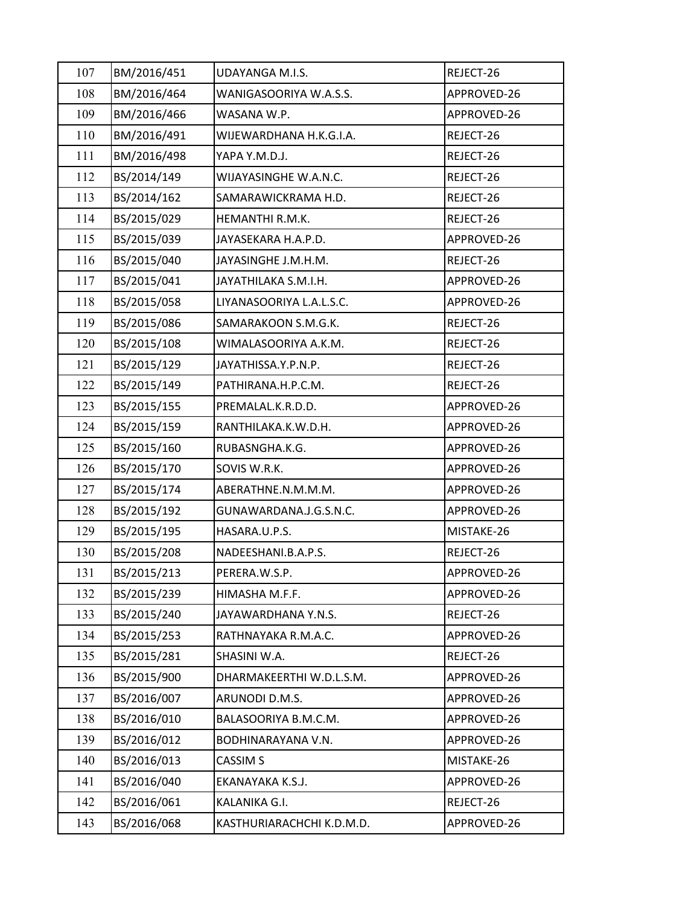| 107 | BM/2016/451 | <b>UDAYANGA M.I.S.</b>    | REJECT-26   |
|-----|-------------|---------------------------|-------------|
| 108 | BM/2016/464 | WANIGASOORIYA W.A.S.S.    | APPROVED-26 |
| 109 | BM/2016/466 | WASANA W.P.               | APPROVED-26 |
| 110 | BM/2016/491 | WIJEWARDHANA H.K.G.I.A.   | REJECT-26   |
| 111 | BM/2016/498 | YAPA Y.M.D.J.             | REJECT-26   |
| 112 | BS/2014/149 | WIJAYASINGHE W.A.N.C.     | REJECT-26   |
| 113 | BS/2014/162 | SAMARAWICKRAMA H.D.       | REJECT-26   |
| 114 | BS/2015/029 | HEMANTHI R.M.K.           | REJECT-26   |
| 115 | BS/2015/039 | JAYASEKARA H.A.P.D.       | APPROVED-26 |
| 116 | BS/2015/040 | JAYASINGHE J.M.H.M.       | REJECT-26   |
| 117 | BS/2015/041 | JAYATHILAKA S.M.I.H.      | APPROVED-26 |
| 118 | BS/2015/058 | LIYANASOORIYA L.A.L.S.C.  | APPROVED-26 |
| 119 | BS/2015/086 | SAMARAKOON S.M.G.K.       | REJECT-26   |
| 120 | BS/2015/108 | WIMALASOORIYA A.K.M.      | REJECT-26   |
| 121 | BS/2015/129 | JAYATHISSA.Y.P.N.P.       | REJECT-26   |
| 122 | BS/2015/149 | PATHIRANA.H.P.C.M.        | REJECT-26   |
| 123 | BS/2015/155 | PREMALAL.K.R.D.D.         | APPROVED-26 |
| 124 | BS/2015/159 | RANTHILAKA.K.W.D.H.       | APPROVED-26 |
| 125 | BS/2015/160 | RUBASNGHA.K.G.            | APPROVED-26 |
| 126 | BS/2015/170 | SOVIS W.R.K.              | APPROVED-26 |
| 127 | BS/2015/174 | ABERATHNE.N.M.M.M.        | APPROVED-26 |
| 128 | BS/2015/192 | GUNAWARDANA.J.G.S.N.C.    | APPROVED-26 |
| 129 | BS/2015/195 | HASARA.U.P.S.             | MISTAKE-26  |
| 130 | BS/2015/208 | NADEESHANI.B.A.P.S.       | REJECT-26   |
| 131 | BS/2015/213 | PERERA.W.S.P.             | APPROVED-26 |
| 132 | BS/2015/239 | HIMASHA M.F.F.            | APPROVED-26 |
| 133 | BS/2015/240 | JAYAWARDHANA Y.N.S.       | REJECT-26   |
| 134 | BS/2015/253 | RATHNAYAKA R.M.A.C.       | APPROVED-26 |
| 135 | BS/2015/281 | SHASINI W.A.              | REJECT-26   |
| 136 | BS/2015/900 | DHARMAKEERTHI W.D.L.S.M.  | APPROVED-26 |
| 137 | BS/2016/007 | ARUNODI D.M.S.            | APPROVED-26 |
| 138 | BS/2016/010 | BALASOORIYA B.M.C.M.      | APPROVED-26 |
| 139 | BS/2016/012 | BODHINARAYANA V.N.        | APPROVED-26 |
| 140 | BS/2016/013 | CASSIM <sub>S</sub>       | MISTAKE-26  |
| 141 | BS/2016/040 | EKANAYAKA K.S.J.          | APPROVED-26 |
| 142 | BS/2016/061 | KALANIKA G.I.             | REJECT-26   |
| 143 | BS/2016/068 | KASTHURIARACHCHI K.D.M.D. | APPROVED-26 |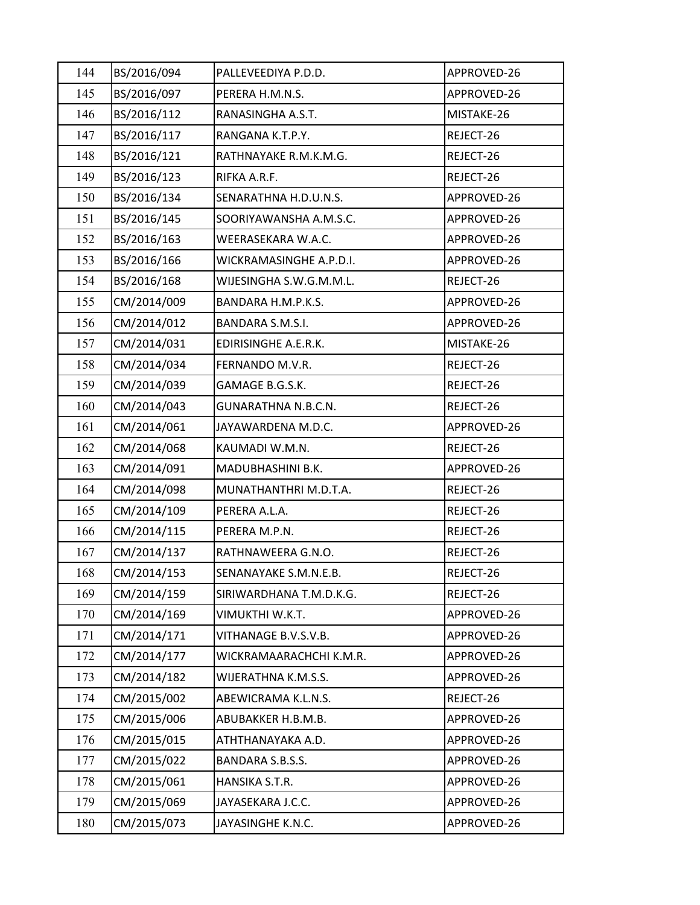| 144 | BS/2016/094 | PALLEVEEDIYA P.D.D.     | APPROVED-26 |
|-----|-------------|-------------------------|-------------|
| 145 | BS/2016/097 | PERERA H.M.N.S.         | APPROVED-26 |
| 146 | BS/2016/112 | RANASINGHA A.S.T.       | MISTAKE-26  |
| 147 | BS/2016/117 | RANGANA K.T.P.Y.        | REJECT-26   |
| 148 | BS/2016/121 | RATHNAYAKE R.M.K.M.G.   | REJECT-26   |
| 149 | BS/2016/123 | RIFKA A.R.F.            | REJECT-26   |
| 150 | BS/2016/134 | SENARATHNA H.D.U.N.S.   | APPROVED-26 |
| 151 | BS/2016/145 | SOORIYAWANSHA A.M.S.C.  | APPROVED-26 |
| 152 | BS/2016/163 | WEERASEKARA W.A.C.      | APPROVED-26 |
| 153 | BS/2016/166 | WICKRAMASINGHE A.P.D.I. | APPROVED-26 |
| 154 | BS/2016/168 | WIJESINGHA S.W.G.M.M.L. | REJECT-26   |
| 155 | CM/2014/009 | BANDARA H.M.P.K.S.      | APPROVED-26 |
| 156 | CM/2014/012 | BANDARA S.M.S.I.        | APPROVED-26 |
| 157 | CM/2014/031 | EDIRISINGHE A.E.R.K.    | MISTAKE-26  |
| 158 | CM/2014/034 | FERNANDO M.V.R.         | REJECT-26   |
| 159 | CM/2014/039 | GAMAGE B.G.S.K.         | REJECT-26   |
| 160 | CM/2014/043 | GUNARATHNA N.B.C.N.     | REJECT-26   |
| 161 | CM/2014/061 | JAYAWARDENA M.D.C.      | APPROVED-26 |
| 162 | CM/2014/068 | KAUMADI W.M.N.          | REJECT-26   |
| 163 | CM/2014/091 | MADUBHASHINI B.K.       | APPROVED-26 |
| 164 | CM/2014/098 | MUNATHANTHRI M.D.T.A.   | REJECT-26   |
| 165 | CM/2014/109 | PERERA A.L.A.           | REJECT-26   |
| 166 | CM/2014/115 | PERERA M.P.N.           | REJECT-26   |
| 167 | CM/2014/137 | RATHNAWEERA G.N.O.      | REJECT-26   |
| 168 | CM/2014/153 | SENANAYAKE S.M.N.E.B.   | REJECT-26   |
| 169 | CM/2014/159 | SIRIWARDHANA T.M.D.K.G. | REJECT-26   |
| 170 | CM/2014/169 | VIMUKTHI W.K.T.         | APPROVED-26 |
| 171 | CM/2014/171 | VITHANAGE B.V.S.V.B.    | APPROVED-26 |
| 172 | CM/2014/177 | WICKRAMAARACHCHI K.M.R. | APPROVED-26 |
| 173 | CM/2014/182 | WIJERATHNA K.M.S.S.     | APPROVED-26 |
| 174 | CM/2015/002 | ABEWICRAMA K.L.N.S.     | REJECT-26   |
| 175 | CM/2015/006 | ABUBAKKER H.B.M.B.      | APPROVED-26 |
| 176 | CM/2015/015 | ATHTHANAYAKA A.D.       | APPROVED-26 |
| 177 | CM/2015/022 | BANDARA S.B.S.S.        | APPROVED-26 |
| 178 | CM/2015/061 | HANSIKA S.T.R.          | APPROVED-26 |
| 179 | CM/2015/069 | JAYASEKARA J.C.C.       | APPROVED-26 |
| 180 | CM/2015/073 | JAYASINGHE K.N.C.       | APPROVED-26 |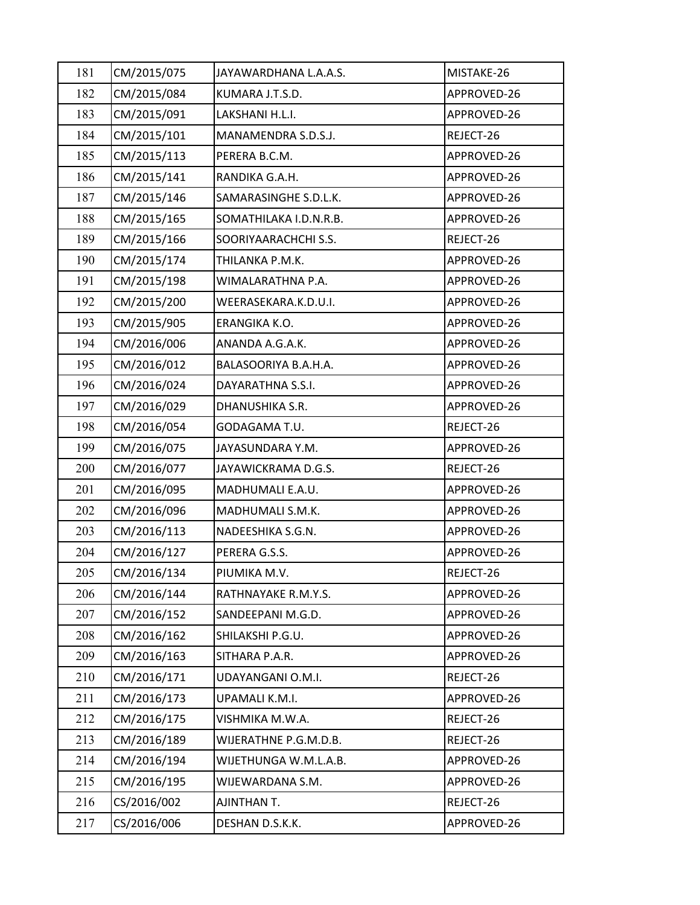| 181 | CM/2015/075 | JAYAWARDHANA L.A.A.S.  | MISTAKE-26  |
|-----|-------------|------------------------|-------------|
| 182 | CM/2015/084 | KUMARA J.T.S.D.        | APPROVED-26 |
| 183 | CM/2015/091 | LAKSHANI H.L.I.        | APPROVED-26 |
| 184 | CM/2015/101 | MANAMENDRA S.D.S.J.    | REJECT-26   |
| 185 | CM/2015/113 | PERERA B.C.M.          | APPROVED-26 |
| 186 | CM/2015/141 | RANDIKA G.A.H.         | APPROVED-26 |
| 187 | CM/2015/146 | SAMARASINGHE S.D.L.K.  | APPROVED-26 |
| 188 | CM/2015/165 | SOMATHILAKA I.D.N.R.B. | APPROVED-26 |
| 189 | CM/2015/166 | SOORIYAARACHCHI S.S.   | REJECT-26   |
| 190 | CM/2015/174 | THILANKA P.M.K.        | APPROVED-26 |
| 191 | CM/2015/198 | WIMALARATHNA P.A.      | APPROVED-26 |
| 192 | CM/2015/200 | WEERASEKARA.K.D.U.I.   | APPROVED-26 |
| 193 | CM/2015/905 | ERANGIKA K.O.          | APPROVED-26 |
| 194 | CM/2016/006 | ANANDA A.G.A.K.        | APPROVED-26 |
| 195 | CM/2016/012 | BALASOORIYA B.A.H.A.   | APPROVED-26 |
| 196 | CM/2016/024 | DAYARATHNA S.S.I.      | APPROVED-26 |
| 197 | CM/2016/029 | DHANUSHIKA S.R.        | APPROVED-26 |
| 198 | CM/2016/054 | GODAGAMA T.U.          | REJECT-26   |
| 199 | CM/2016/075 | JAYASUNDARA Y.M.       | APPROVED-26 |
| 200 | CM/2016/077 | JAYAWICKRAMA D.G.S.    | REJECT-26   |
| 201 | CM/2016/095 | MADHUMALI E.A.U.       | APPROVED-26 |
| 202 | CM/2016/096 | MADHUMALI S.M.K.       | APPROVED-26 |
| 203 | CM/2016/113 | NADEESHIKA S.G.N.      | APPROVED-26 |
| 204 | CM/2016/127 | PERERA G.S.S.          | APPROVED-26 |
| 205 | CM/2016/134 | PIUMIKA M.V.           | REJECT-26   |
| 206 | CM/2016/144 | RATHNAYAKE R.M.Y.S.    | APPROVED-26 |
| 207 | CM/2016/152 | SANDEEPANI M.G.D.      | APPROVED-26 |
| 208 | CM/2016/162 | SHILAKSHI P.G.U.       | APPROVED-26 |
| 209 | CM/2016/163 | SITHARA P.A.R.         | APPROVED-26 |
| 210 | CM/2016/171 | UDAYANGANI O.M.I.      | REJECT-26   |
| 211 | CM/2016/173 | UPAMALI K.M.I.         | APPROVED-26 |
| 212 | CM/2016/175 | VISHMIKA M.W.A.        | REJECT-26   |
| 213 | CM/2016/189 | WIJERATHNE P.G.M.D.B.  | REJECT-26   |
| 214 | CM/2016/194 | WIJETHUNGA W.M.L.A.B.  | APPROVED-26 |
| 215 | CM/2016/195 | WIJEWARDANA S.M.       | APPROVED-26 |
| 216 | CS/2016/002 | AJINTHAN T.            | REJECT-26   |
| 217 | CS/2016/006 | DESHAN D.S.K.K.        | APPROVED-26 |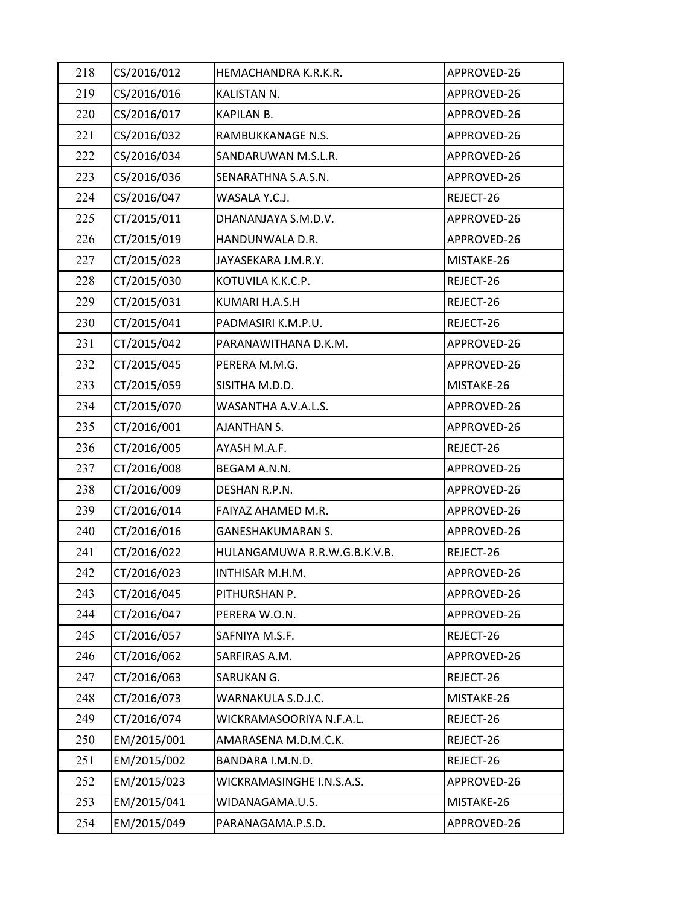| 218 | CS/2016/012 | HEMACHANDRA K.R.K.R.         | APPROVED-26 |
|-----|-------------|------------------------------|-------------|
| 219 | CS/2016/016 | KALISTAN N.                  | APPROVED-26 |
| 220 | CS/2016/017 | KAPILAN B.                   | APPROVED-26 |
| 221 | CS/2016/032 | RAMBUKKANAGE N.S.            | APPROVED-26 |
| 222 | CS/2016/034 | SANDARUWAN M.S.L.R.          | APPROVED-26 |
| 223 | CS/2016/036 | SENARATHNA S.A.S.N.          | APPROVED-26 |
| 224 | CS/2016/047 | WASALA Y.C.J.                | REJECT-26   |
| 225 | CT/2015/011 | DHANANJAYA S.M.D.V.          | APPROVED-26 |
| 226 | CT/2015/019 | HANDUNWALA D.R.              | APPROVED-26 |
| 227 | CT/2015/023 | JAYASEKARA J.M.R.Y.          | MISTAKE-26  |
| 228 | CT/2015/030 | KOTUVILA K.K.C.P.            | REJECT-26   |
| 229 | CT/2015/031 | KUMARI H.A.S.H               | REJECT-26   |
| 230 | CT/2015/041 | PADMASIRI K.M.P.U.           | REJECT-26   |
| 231 | CT/2015/042 | PARANAWITHANA D.K.M.         | APPROVED-26 |
| 232 | CT/2015/045 | PERERA M.M.G.                | APPROVED-26 |
| 233 | CT/2015/059 | SISITHA M.D.D.               | MISTAKE-26  |
| 234 | CT/2015/070 | WASANTHA A.V.A.L.S.          | APPROVED-26 |
| 235 | CT/2016/001 | <b>AJANTHAN S.</b>           | APPROVED-26 |
| 236 | CT/2016/005 | AYASH M.A.F.                 | REJECT-26   |
| 237 | CT/2016/008 | BEGAM A.N.N.                 | APPROVED-26 |
| 238 | CT/2016/009 | DESHAN R.P.N.                | APPROVED-26 |
| 239 | CT/2016/014 | FAIYAZ AHAMED M.R.           | APPROVED-26 |
| 240 | CT/2016/016 | <b>GANESHAKUMARAN S.</b>     | APPROVED-26 |
| 241 | CT/2016/022 | HULANGAMUWA R.R.W.G.B.K.V.B. | REJECT-26   |
| 242 | CT/2016/023 | INTHISAR M.H.M.              | APPROVED-26 |
| 243 | CT/2016/045 | PITHURSHAN P.                | APPROVED-26 |
| 244 | CT/2016/047 | PERERA W.O.N.                | APPROVED-26 |
| 245 | CT/2016/057 | SAFNIYA M.S.F.               | REJECT-26   |
| 246 | CT/2016/062 | SARFIRAS A.M.                | APPROVED-26 |
| 247 | CT/2016/063 | SARUKAN G.                   | REJECT-26   |
| 248 | CT/2016/073 | WARNAKULA S.D.J.C.           | MISTAKE-26  |
| 249 | CT/2016/074 | WICKRAMASOORIYA N.F.A.L.     | REJECT-26   |
| 250 | EM/2015/001 | AMARASENA M.D.M.C.K.         | REJECT-26   |
| 251 | EM/2015/002 | BANDARA I.M.N.D.             | REJECT-26   |
| 252 | EM/2015/023 | WICKRAMASINGHE I.N.S.A.S.    | APPROVED-26 |
| 253 | EM/2015/041 | WIDANAGAMA.U.S.              | MISTAKE-26  |
| 254 | EM/2015/049 | PARANAGAMA.P.S.D.            | APPROVED-26 |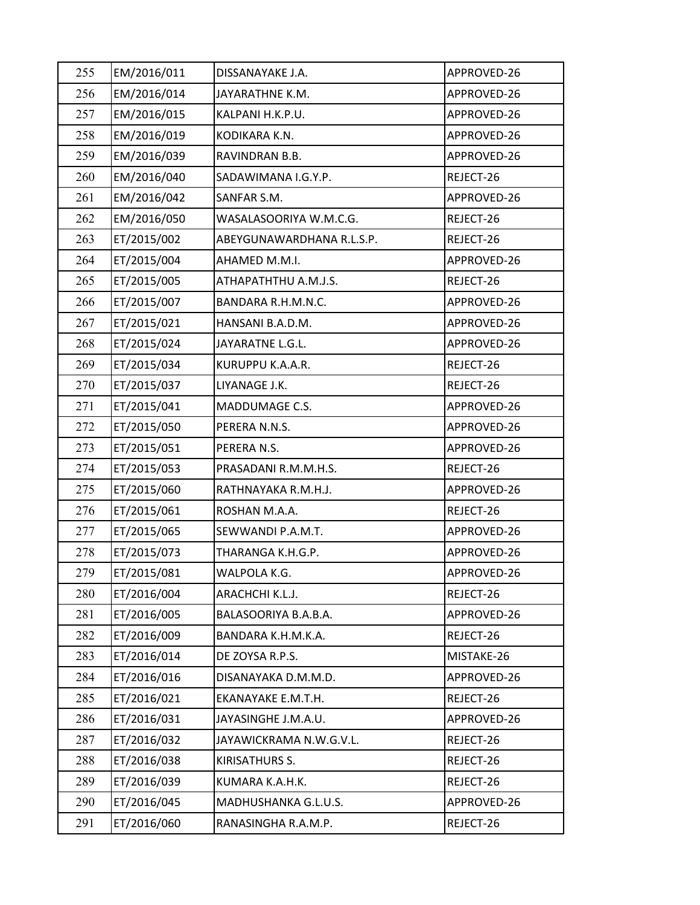| 255 | EM/2016/011 | DISSANAYAKE J.A.          | APPROVED-26 |
|-----|-------------|---------------------------|-------------|
| 256 | EM/2016/014 | JAYARATHNE K.M.           | APPROVED-26 |
| 257 | EM/2016/015 | KALPANI H.K.P.U.          | APPROVED-26 |
| 258 | EM/2016/019 | KODIKARA K.N.             | APPROVED-26 |
| 259 | EM/2016/039 | RAVINDRAN B.B.            | APPROVED-26 |
| 260 | EM/2016/040 | SADAWIMANA I.G.Y.P.       | REJECT-26   |
| 261 | EM/2016/042 | SANFAR S.M.               | APPROVED-26 |
| 262 | EM/2016/050 | WASALASOORIYA W.M.C.G.    | REJECT-26   |
| 263 | ET/2015/002 | ABEYGUNAWARDHANA R.L.S.P. | REJECT-26   |
| 264 | ET/2015/004 | AHAMED M.M.I.             | APPROVED-26 |
| 265 | ET/2015/005 | ATHAPATHTHU A.M.J.S.      | REJECT-26   |
| 266 | ET/2015/007 | BANDARA R.H.M.N.C.        | APPROVED-26 |
| 267 | ET/2015/021 | HANSANI B.A.D.M.          | APPROVED-26 |
| 268 | ET/2015/024 | JAYARATNE L.G.L.          | APPROVED-26 |
| 269 | ET/2015/034 | KURUPPU K.A.A.R.          | REJECT-26   |
| 270 | ET/2015/037 | LIYANAGE J.K.             | REJECT-26   |
| 271 | ET/2015/041 | MADDUMAGE C.S.            | APPROVED-26 |
| 272 | ET/2015/050 | PERERA N.N.S.             | APPROVED-26 |
| 273 | ET/2015/051 | PERERA N.S.               | APPROVED-26 |
| 274 | ET/2015/053 | PRASADANI R.M.M.H.S.      | REJECT-26   |
| 275 | ET/2015/060 | RATHNAYAKA R.M.H.J.       | APPROVED-26 |
| 276 | ET/2015/061 | ROSHAN M.A.A.             | REJECT-26   |
| 277 | ET/2015/065 | SEWWANDI P.A.M.T.         | APPROVED-26 |
| 278 | ET/2015/073 | THARANGA K.H.G.P.         | APPROVED-26 |
| 279 | ET/2015/081 | WALPOLA K.G.              | APPROVED-26 |
| 280 | ET/2016/004 | ARACHCHI K.L.J.           | REJECT-26   |
| 281 | ET/2016/005 | BALASOORIYA B.A.B.A.      | APPROVED-26 |
| 282 | ET/2016/009 | BANDARA K.H.M.K.A.        | REJECT-26   |
| 283 | ET/2016/014 | DE ZOYSA R.P.S.           | MISTAKE-26  |
| 284 | ET/2016/016 | DISANAYAKA D.M.M.D.       | APPROVED-26 |
| 285 | ET/2016/021 | EKANAYAKE E.M.T.H.        | REJECT-26   |
| 286 | ET/2016/031 | JAYASINGHE J.M.A.U.       | APPROVED-26 |
| 287 | ET/2016/032 | JAYAWICKRAMA N.W.G.V.L.   | REJECT-26   |
| 288 | ET/2016/038 | KIRISATHURS S.            | REJECT-26   |
| 289 | ET/2016/039 | KUMARA K.A.H.K.           | REJECT-26   |
| 290 | ET/2016/045 | MADHUSHANKA G.L.U.S.      | APPROVED-26 |
| 291 | ET/2016/060 | RANASINGHA R.A.M.P.       | REJECT-26   |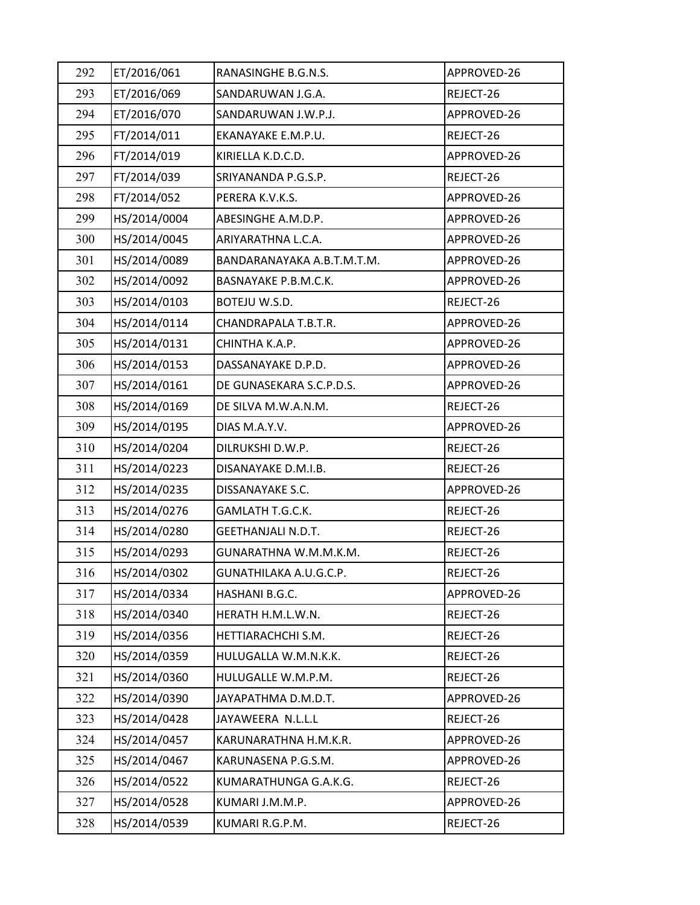| 292 | ET/2016/061  | RANASINGHE B.G.N.S.        | APPROVED-26 |
|-----|--------------|----------------------------|-------------|
| 293 | ET/2016/069  | SANDARUWAN J.G.A.          | REJECT-26   |
| 294 | ET/2016/070  | SANDARUWAN J.W.P.J.        | APPROVED-26 |
| 295 | FT/2014/011  | EKANAYAKE E.M.P.U.         | REJECT-26   |
| 296 | FT/2014/019  | KIRIELLA K.D.C.D.          | APPROVED-26 |
| 297 | FT/2014/039  | SRIYANANDA P.G.S.P.        | REJECT-26   |
| 298 | FT/2014/052  | PERERA K.V.K.S.            | APPROVED-26 |
| 299 | HS/2014/0004 | ABESINGHE A.M.D.P.         | APPROVED-26 |
| 300 | HS/2014/0045 | ARIYARATHNA L.C.A.         | APPROVED-26 |
| 301 | HS/2014/0089 | BANDARANAYAKA A.B.T.M.T.M. | APPROVED-26 |
| 302 | HS/2014/0092 | BASNAYAKE P.B.M.C.K.       | APPROVED-26 |
| 303 | HS/2014/0103 | BOTEJU W.S.D.              | REJECT-26   |
| 304 | HS/2014/0114 | CHANDRAPALA T.B.T.R.       | APPROVED-26 |
| 305 | HS/2014/0131 | CHINTHA K.A.P.             | APPROVED-26 |
| 306 | HS/2014/0153 | DASSANAYAKE D.P.D.         | APPROVED-26 |
| 307 | HS/2014/0161 | DE GUNASEKARA S.C.P.D.S.   | APPROVED-26 |
| 308 | HS/2014/0169 | DE SILVA M.W.A.N.M.        | REJECT-26   |
| 309 | HS/2014/0195 | DIAS M.A.Y.V.              | APPROVED-26 |
| 310 | HS/2014/0204 | DILRUKSHI D.W.P.           | REJECT-26   |
| 311 | HS/2014/0223 | DISANAYAKE D.M.I.B.        | REJECT-26   |
| 312 | HS/2014/0235 | DISSANAYAKE S.C.           | APPROVED-26 |
| 313 | HS/2014/0276 | GAMLATH T.G.C.K.           | REJECT-26   |
| 314 | HS/2014/0280 | <b>GEETHANJALI N.D.T.</b>  | REJECT-26   |
| 315 | HS/2014/0293 | GUNARATHNA W.M.M.K.M.      | REJECT-26   |
| 316 | HS/2014/0302 | GUNATHILAKA A.U.G.C.P.     | REJECT-26   |
| 317 | HS/2014/0334 | HASHANI B.G.C.             | APPROVED-26 |
| 318 | HS/2014/0340 | HERATH H.M.L.W.N.          | REJECT-26   |
| 319 | HS/2014/0356 | HETTIARACHCHI S.M.         | REJECT-26   |
| 320 | HS/2014/0359 | HULUGALLA W.M.N.K.K.       | REJECT-26   |
| 321 | HS/2014/0360 | HULUGALLE W.M.P.M.         | REJECT-26   |
| 322 | HS/2014/0390 | JAYAPATHMA D.M.D.T.        | APPROVED-26 |
| 323 | HS/2014/0428 | JAYAWEERA N.L.L.L          | REJECT-26   |
| 324 | HS/2014/0457 | KARUNARATHNA H.M.K.R.      | APPROVED-26 |
| 325 | HS/2014/0467 | KARUNASENA P.G.S.M.        | APPROVED-26 |
| 326 | HS/2014/0522 | KUMARATHUNGA G.A.K.G.      | REJECT-26   |
| 327 | HS/2014/0528 | KUMARI J.M.M.P.            | APPROVED-26 |
| 328 | HS/2014/0539 | KUMARI R.G.P.M.            | REJECT-26   |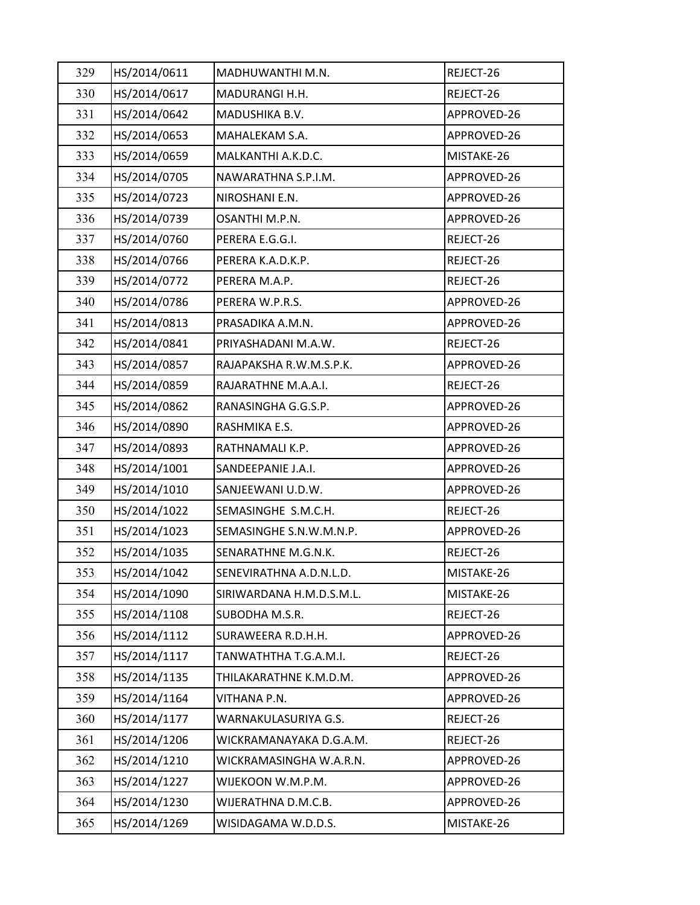| 329 | HS/2014/0611 | MADHUWANTHI M.N.         | REJECT-26   |
|-----|--------------|--------------------------|-------------|
| 330 | HS/2014/0617 | MADURANGI H.H.           | REJECT-26   |
| 331 | HS/2014/0642 | MADUSHIKA B.V.           | APPROVED-26 |
| 332 | HS/2014/0653 | MAHALEKAM S.A.           | APPROVED-26 |
| 333 | HS/2014/0659 | MALKANTHI A.K.D.C.       | MISTAKE-26  |
| 334 | HS/2014/0705 | NAWARATHNA S.P.I.M.      | APPROVED-26 |
| 335 | HS/2014/0723 | NIROSHANI E.N.           | APPROVED-26 |
| 336 | HS/2014/0739 | OSANTHI M.P.N.           | APPROVED-26 |
| 337 | HS/2014/0760 | PERERA E.G.G.I.          | REJECT-26   |
| 338 | HS/2014/0766 | PERERA K.A.D.K.P.        | REJECT-26   |
| 339 | HS/2014/0772 | PERERA M.A.P.            | REJECT-26   |
| 340 | HS/2014/0786 | PERERA W.P.R.S.          | APPROVED-26 |
| 341 | HS/2014/0813 | PRASADIKA A.M.N.         | APPROVED-26 |
| 342 | HS/2014/0841 | PRIYASHADANI M.A.W.      | REJECT-26   |
| 343 | HS/2014/0857 | RAJAPAKSHA R.W.M.S.P.K.  | APPROVED-26 |
| 344 | HS/2014/0859 | RAJARATHNE M.A.A.I.      | REJECT-26   |
| 345 | HS/2014/0862 | RANASINGHA G.G.S.P.      | APPROVED-26 |
| 346 | HS/2014/0890 | RASHMIKA E.S.            | APPROVED-26 |
| 347 | HS/2014/0893 | RATHNAMALI K.P.          | APPROVED-26 |
| 348 | HS/2014/1001 | SANDEEPANIE J.A.I.       | APPROVED-26 |
| 349 | HS/2014/1010 | SANJEEWANI U.D.W.        | APPROVED-26 |
| 350 | HS/2014/1022 | SEMASINGHE S.M.C.H.      | REJECT-26   |
| 351 | HS/2014/1023 | SEMASINGHE S.N.W.M.N.P.  | APPROVED-26 |
| 352 | HS/2014/1035 | SENARATHNE M.G.N.K.      | REJECT-26   |
| 353 | HS/2014/1042 | SENEVIRATHNA A.D.N.L.D.  | MISTAKE-26  |
| 354 | HS/2014/1090 | SIRIWARDANA H.M.D.S.M.L. | MISTAKE-26  |
| 355 | HS/2014/1108 | SUBODHA M.S.R.           | REJECT-26   |
| 356 | HS/2014/1112 | SURAWEERA R.D.H.H.       | APPROVED-26 |
| 357 | HS/2014/1117 | TANWATHTHA T.G.A.M.I.    | REJECT-26   |
| 358 | HS/2014/1135 | THILAKARATHNE K.M.D.M.   | APPROVED-26 |
| 359 | HS/2014/1164 | VITHANA P.N.             | APPROVED-26 |
| 360 | HS/2014/1177 | WARNAKULASURIYA G.S.     | REJECT-26   |
| 361 | HS/2014/1206 | WICKRAMANAYAKA D.G.A.M.  | REJECT-26   |
| 362 | HS/2014/1210 | WICKRAMASINGHA W.A.R.N.  | APPROVED-26 |
| 363 | HS/2014/1227 | WIJEKOON W.M.P.M.        | APPROVED-26 |
| 364 | HS/2014/1230 | WIJERATHNA D.M.C.B.      | APPROVED-26 |
| 365 | HS/2014/1269 | WISIDAGAMA W.D.D.S.      | MISTAKE-26  |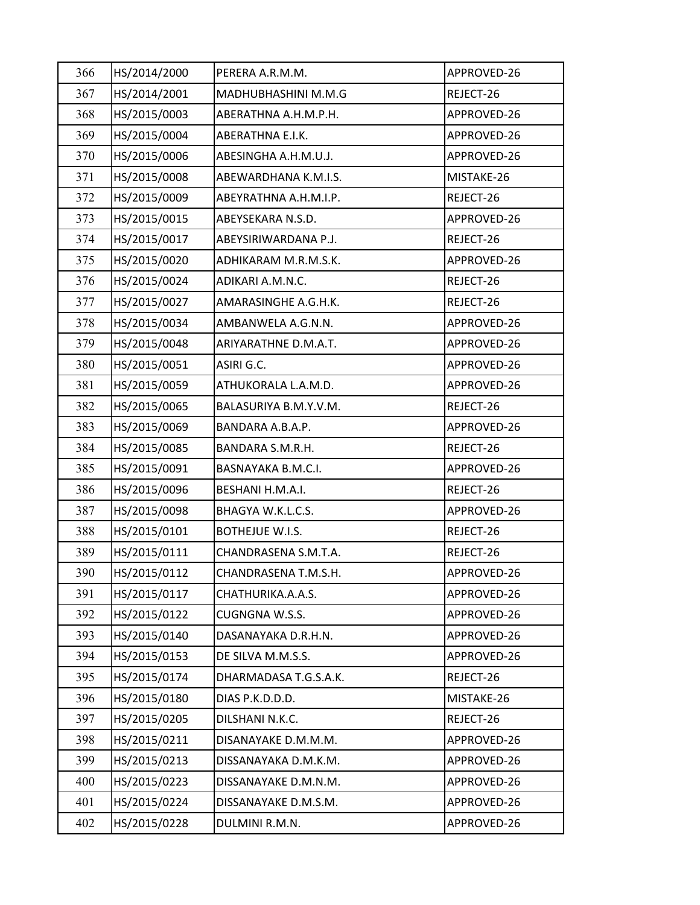| 366 | HS/2014/2000 | PERERA A.R.M.M.        | APPROVED-26 |
|-----|--------------|------------------------|-------------|
| 367 | HS/2014/2001 | MADHUBHASHINI M.M.G    | REJECT-26   |
| 368 | HS/2015/0003 | ABERATHNA A.H.M.P.H.   | APPROVED-26 |
| 369 | HS/2015/0004 | ABERATHNA E.I.K.       | APPROVED-26 |
| 370 | HS/2015/0006 | ABESINGHA A.H.M.U.J.   | APPROVED-26 |
| 371 | HS/2015/0008 | ABEWARDHANA K.M.I.S.   | MISTAKE-26  |
| 372 | HS/2015/0009 | ABEYRATHNA A.H.M.I.P.  | REJECT-26   |
| 373 | HS/2015/0015 | ABEYSEKARA N.S.D.      | APPROVED-26 |
| 374 | HS/2015/0017 | ABEYSIRIWARDANA P.J.   | REJECT-26   |
| 375 | HS/2015/0020 | ADHIKARAM M.R.M.S.K.   | APPROVED-26 |
| 376 | HS/2015/0024 | ADIKARI A.M.N.C.       | REJECT-26   |
| 377 | HS/2015/0027 | AMARASINGHE A.G.H.K.   | REJECT-26   |
| 378 | HS/2015/0034 | AMBANWELA A.G.N.N.     | APPROVED-26 |
| 379 | HS/2015/0048 | ARIYARATHNE D.M.A.T.   | APPROVED-26 |
| 380 | HS/2015/0051 | ASIRI G.C.             | APPROVED-26 |
| 381 | HS/2015/0059 | ATHUKORALA L.A.M.D.    | APPROVED-26 |
| 382 | HS/2015/0065 | BALASURIYA B.M.Y.V.M.  | REJECT-26   |
| 383 | HS/2015/0069 | BANDARA A.B.A.P.       | APPROVED-26 |
| 384 | HS/2015/0085 | BANDARA S.M.R.H.       | REJECT-26   |
| 385 | HS/2015/0091 | BASNAYAKA B.M.C.I.     | APPROVED-26 |
| 386 | HS/2015/0096 | BESHANI H.M.A.I.       | REJECT-26   |
| 387 | HS/2015/0098 | BHAGYA W.K.L.C.S.      | APPROVED-26 |
| 388 | HS/2015/0101 | <b>BOTHEJUE W.I.S.</b> | REJECT-26   |
| 389 | HS/2015/0111 | CHANDRASENA S.M.T.A.   | REJECT-26   |
| 390 | HS/2015/0112 | CHANDRASENA T.M.S.H.   | APPROVED-26 |
| 391 | HS/2015/0117 | CHATHURIKA.A.A.S.      | APPROVED-26 |
| 392 | HS/2015/0122 | CUGNGNA W.S.S.         | APPROVED-26 |
| 393 | HS/2015/0140 | DASANAYAKA D.R.H.N.    | APPROVED-26 |
| 394 | HS/2015/0153 | DE SILVA M.M.S.S.      | APPROVED-26 |
| 395 | HS/2015/0174 | DHARMADASA T.G.S.A.K.  | REJECT-26   |
| 396 | HS/2015/0180 | DIAS P.K.D.D.D.        | MISTAKE-26  |
| 397 | HS/2015/0205 | DILSHANI N.K.C.        | REJECT-26   |
| 398 | HS/2015/0211 | DISANAYAKE D.M.M.M.    | APPROVED-26 |
| 399 | HS/2015/0213 | DISSANAYAKA D.M.K.M.   | APPROVED-26 |
| 400 | HS/2015/0223 | DISSANAYAKE D.M.N.M.   | APPROVED-26 |
| 401 | HS/2015/0224 | DISSANAYAKE D.M.S.M.   | APPROVED-26 |
| 402 | HS/2015/0228 | DULMINI R.M.N.         | APPROVED-26 |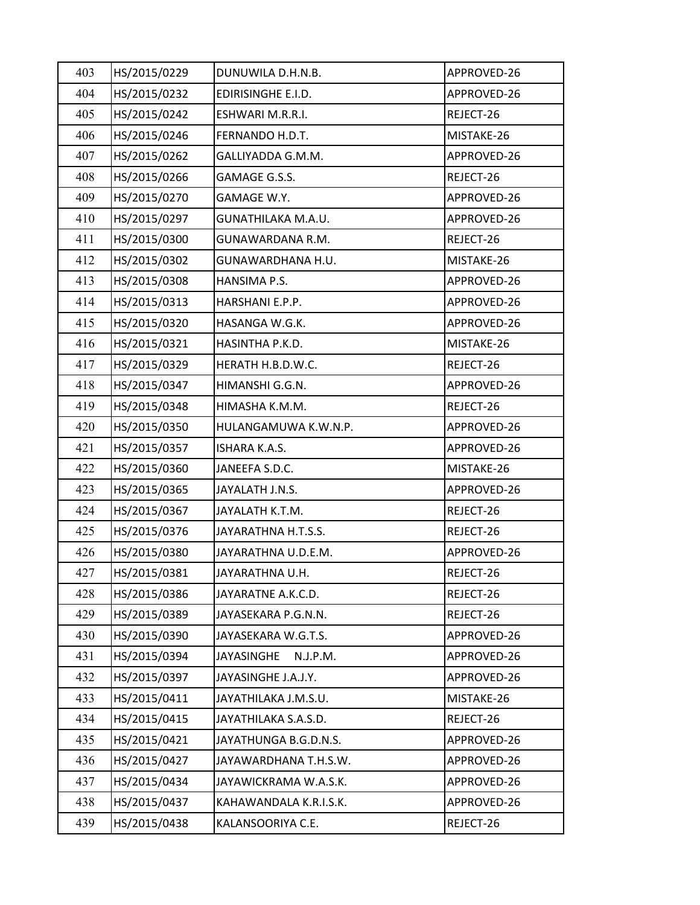| 403 | HS/2015/0229 | DUNUWILA D.H.N.B.      | APPROVED-26 |
|-----|--------------|------------------------|-------------|
| 404 | HS/2015/0232 | EDIRISINGHE E.I.D.     | APPROVED-26 |
| 405 | HS/2015/0242 | ESHWARI M.R.R.I.       | REJECT-26   |
| 406 | HS/2015/0246 | FERNANDO H.D.T.        | MISTAKE-26  |
| 407 | HS/2015/0262 | GALLIYADDA G.M.M.      | APPROVED-26 |
| 408 | HS/2015/0266 | GAMAGE G.S.S.          | REJECT-26   |
| 409 | HS/2015/0270 | GAMAGE W.Y.            | APPROVED-26 |
| 410 | HS/2015/0297 | GUNATHILAKA M.A.U.     | APPROVED-26 |
| 411 | HS/2015/0300 | GUNAWARDANA R.M.       | REJECT-26   |
| 412 | HS/2015/0302 | GUNAWARDHANA H.U.      | MISTAKE-26  |
| 413 | HS/2015/0308 | HANSIMA P.S.           | APPROVED-26 |
| 414 | HS/2015/0313 | HARSHANI E.P.P.        | APPROVED-26 |
| 415 | HS/2015/0320 | HASANGA W.G.K.         | APPROVED-26 |
| 416 | HS/2015/0321 | HASINTHA P.K.D.        | MISTAKE-26  |
| 417 | HS/2015/0329 | HERATH H.B.D.W.C.      | REJECT-26   |
| 418 | HS/2015/0347 | HIMANSHI G.G.N.        | APPROVED-26 |
| 419 | HS/2015/0348 | HIMASHA K.M.M.         | REJECT-26   |
| 420 | HS/2015/0350 | HULANGAMUWA K.W.N.P.   | APPROVED-26 |
| 421 | HS/2015/0357 | ISHARA K.A.S.          | APPROVED-26 |
| 422 | HS/2015/0360 | JANEEFA S.D.C.         | MISTAKE-26  |
| 423 | HS/2015/0365 | JAYALATH J.N.S.        | APPROVED-26 |
| 424 | HS/2015/0367 | JAYALATH K.T.M.        | REJECT-26   |
| 425 | HS/2015/0376 | JAYARATHNA H.T.S.S.    | REJECT-26   |
| 426 | HS/2015/0380 | JAYARATHNA U.D.E.M.    | APPROVED-26 |
| 427 | HS/2015/0381 | JAYARATHNA U.H.        | REJECT-26   |
| 428 | HS/2015/0386 | JAYARATNE A.K.C.D.     | REJECT-26   |
| 429 | HS/2015/0389 | JAYASEKARA P.G.N.N.    | REJECT-26   |
| 430 | HS/2015/0390 | JAYASEKARA W.G.T.S.    | APPROVED-26 |
| 431 | HS/2015/0394 | JAYASINGHE<br>N.J.P.M. | APPROVED-26 |
| 432 | HS/2015/0397 | JAYASINGHE J.A.J.Y.    | APPROVED-26 |
| 433 | HS/2015/0411 | JAYATHILAKA J.M.S.U.   | MISTAKE-26  |
| 434 | HS/2015/0415 | JAYATHILAKA S.A.S.D.   | REJECT-26   |
| 435 | HS/2015/0421 | JAYATHUNGA B.G.D.N.S.  | APPROVED-26 |
| 436 | HS/2015/0427 | JAYAWARDHANA T.H.S.W.  | APPROVED-26 |
| 437 | HS/2015/0434 | JAYAWICKRAMA W.A.S.K.  | APPROVED-26 |
| 438 | HS/2015/0437 | KAHAWANDALA K.R.I.S.K. | APPROVED-26 |
| 439 | HS/2015/0438 | KALANSOORIYA C.E.      | REJECT-26   |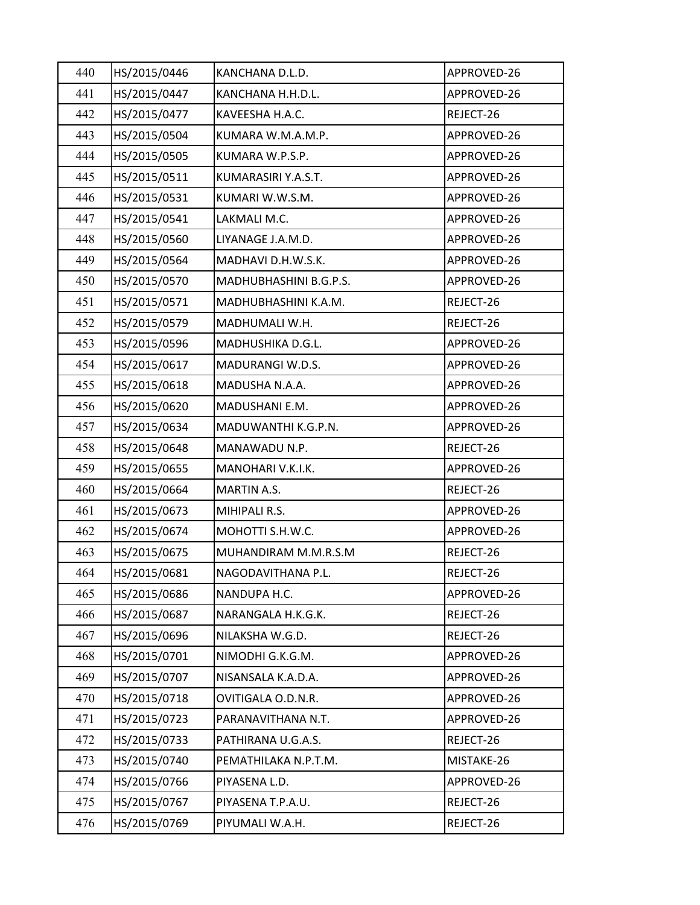| 440 | HS/2015/0446 | KANCHANA D.L.D.        | APPROVED-26 |
|-----|--------------|------------------------|-------------|
| 441 | HS/2015/0447 | KANCHANA H.H.D.L.      | APPROVED-26 |
| 442 | HS/2015/0477 | KAVEESHA H.A.C.        | REJECT-26   |
| 443 | HS/2015/0504 | KUMARA W.M.A.M.P.      | APPROVED-26 |
| 444 | HS/2015/0505 | KUMARA W.P.S.P.        | APPROVED-26 |
| 445 | HS/2015/0511 | KUMARASIRI Y.A.S.T.    | APPROVED-26 |
| 446 | HS/2015/0531 | KUMARI W.W.S.M.        | APPROVED-26 |
| 447 | HS/2015/0541 | LAKMALI M.C.           | APPROVED-26 |
| 448 | HS/2015/0560 | LIYANAGE J.A.M.D.      | APPROVED-26 |
| 449 | HS/2015/0564 | MADHAVI D.H.W.S.K.     | APPROVED-26 |
| 450 | HS/2015/0570 | MADHUBHASHINI B.G.P.S. | APPROVED-26 |
| 451 | HS/2015/0571 | MADHUBHASHINI K.A.M.   | REJECT-26   |
| 452 | HS/2015/0579 | MADHUMALI W.H.         | REJECT-26   |
| 453 | HS/2015/0596 | MADHUSHIKA D.G.L.      | APPROVED-26 |
| 454 | HS/2015/0617 | MADURANGI W.D.S.       | APPROVED-26 |
| 455 | HS/2015/0618 | MADUSHA N.A.A.         | APPROVED-26 |
| 456 | HS/2015/0620 | MADUSHANI E.M.         | APPROVED-26 |
| 457 | HS/2015/0634 | MADUWANTHI K.G.P.N.    | APPROVED-26 |
| 458 | HS/2015/0648 | MANAWADU N.P.          | REJECT-26   |
| 459 | HS/2015/0655 | MANOHARI V.K.I.K.      | APPROVED-26 |
| 460 | HS/2015/0664 | MARTIN A.S.            | REJECT-26   |
| 461 | HS/2015/0673 | MIHIPALI R.S.          | APPROVED-26 |
| 462 | HS/2015/0674 | MOHOTTI S.H.W.C.       | APPROVED-26 |
| 463 | HS/2015/0675 | MUHANDIRAM M.M.R.S.M   | REJECT-26   |
| 464 | HS/2015/0681 | NAGODAVITHANA P.L.     | REJECT-26   |
| 465 | HS/2015/0686 | NANDUPA H.C.           | APPROVED-26 |
| 466 | HS/2015/0687 | NARANGALA H.K.G.K.     | REJECT-26   |
| 467 | HS/2015/0696 | NILAKSHA W.G.D.        | REJECT-26   |
| 468 | HS/2015/0701 | NIMODHI G.K.G.M.       | APPROVED-26 |
| 469 | HS/2015/0707 | NISANSALA K.A.D.A.     | APPROVED-26 |
| 470 | HS/2015/0718 | OVITIGALA O.D.N.R.     | APPROVED-26 |
| 471 | HS/2015/0723 | PARANAVITHANA N.T.     | APPROVED-26 |
| 472 | HS/2015/0733 | PATHIRANA U.G.A.S.     | REJECT-26   |
| 473 | HS/2015/0740 | PEMATHILAKA N.P.T.M.   | MISTAKE-26  |
| 474 | HS/2015/0766 | PIYASENA L.D.          | APPROVED-26 |
| 475 | HS/2015/0767 | PIYASENA T.P.A.U.      | REJECT-26   |
| 476 | HS/2015/0769 | PIYUMALI W.A.H.        | REJECT-26   |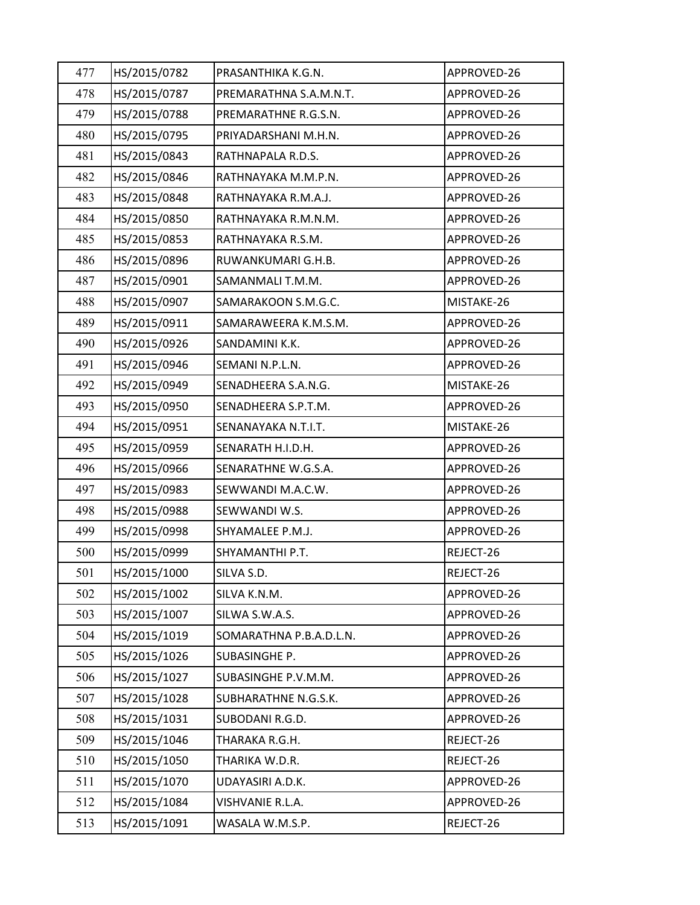| 477 | HS/2015/0782 | PRASANTHIKA K.G.N.      | APPROVED-26 |
|-----|--------------|-------------------------|-------------|
| 478 | HS/2015/0787 | PREMARATHNA S.A.M.N.T.  | APPROVED-26 |
| 479 | HS/2015/0788 | PREMARATHNE R.G.S.N.    | APPROVED-26 |
| 480 | HS/2015/0795 | PRIYADARSHANI M.H.N.    | APPROVED-26 |
| 481 | HS/2015/0843 | RATHNAPALA R.D.S.       | APPROVED-26 |
| 482 | HS/2015/0846 | RATHNAYAKA M.M.P.N.     | APPROVED-26 |
| 483 | HS/2015/0848 | RATHNAYAKA R.M.A.J.     | APPROVED-26 |
| 484 | HS/2015/0850 | RATHNAYAKA R.M.N.M.     | APPROVED-26 |
| 485 | HS/2015/0853 | RATHNAYAKA R.S.M.       | APPROVED-26 |
| 486 | HS/2015/0896 | RUWANKUMARI G.H.B.      | APPROVED-26 |
| 487 | HS/2015/0901 | SAMANMALI T.M.M.        | APPROVED-26 |
| 488 | HS/2015/0907 | SAMARAKOON S.M.G.C.     | MISTAKE-26  |
| 489 | HS/2015/0911 | SAMARAWEERA K.M.S.M.    | APPROVED-26 |
| 490 | HS/2015/0926 | SANDAMINI K.K.          | APPROVED-26 |
| 491 | HS/2015/0946 | SEMANI N.P.L.N.         | APPROVED-26 |
| 492 | HS/2015/0949 | SENADHEERA S.A.N.G.     | MISTAKE-26  |
| 493 | HS/2015/0950 | SENADHEERA S.P.T.M.     | APPROVED-26 |
| 494 | HS/2015/0951 | SENANAYAKA N.T.I.T.     | MISTAKE-26  |
| 495 | HS/2015/0959 | SENARATH H.I.D.H.       | APPROVED-26 |
| 496 | HS/2015/0966 | SENARATHNE W.G.S.A.     | APPROVED-26 |
| 497 | HS/2015/0983 | SEWWANDI M.A.C.W.       | APPROVED-26 |
| 498 | HS/2015/0988 | SEWWANDI W.S.           | APPROVED-26 |
| 499 | HS/2015/0998 | SHYAMALEE P.M.J.        | APPROVED-26 |
| 500 | HS/2015/0999 | SHYAMANTHI P.T.         | REJECT-26   |
| 501 | HS/2015/1000 | SILVA S.D.              | REJECT-26   |
| 502 | HS/2015/1002 | SILVA K.N.M.            | APPROVED-26 |
| 503 | HS/2015/1007 | SILWA S.W.A.S.          | APPROVED-26 |
| 504 | HS/2015/1019 | SOMARATHNA P.B.A.D.L.N. | APPROVED-26 |
| 505 | HS/2015/1026 | SUBASINGHE P.           | APPROVED-26 |
| 506 | HS/2015/1027 | SUBASINGHE P.V.M.M.     | APPROVED-26 |
| 507 | HS/2015/1028 | SUBHARATHNE N.G.S.K.    | APPROVED-26 |
| 508 | HS/2015/1031 | SUBODANI R.G.D.         | APPROVED-26 |
| 509 | HS/2015/1046 | THARAKA R.G.H.          | REJECT-26   |
| 510 | HS/2015/1050 | THARIKA W.D.R.          | REJECT-26   |
| 511 | HS/2015/1070 | UDAYASIRI A.D.K.        | APPROVED-26 |
| 512 | HS/2015/1084 | VISHVANIE R.L.A.        | APPROVED-26 |
| 513 | HS/2015/1091 | WASALA W.M.S.P.         | REJECT-26   |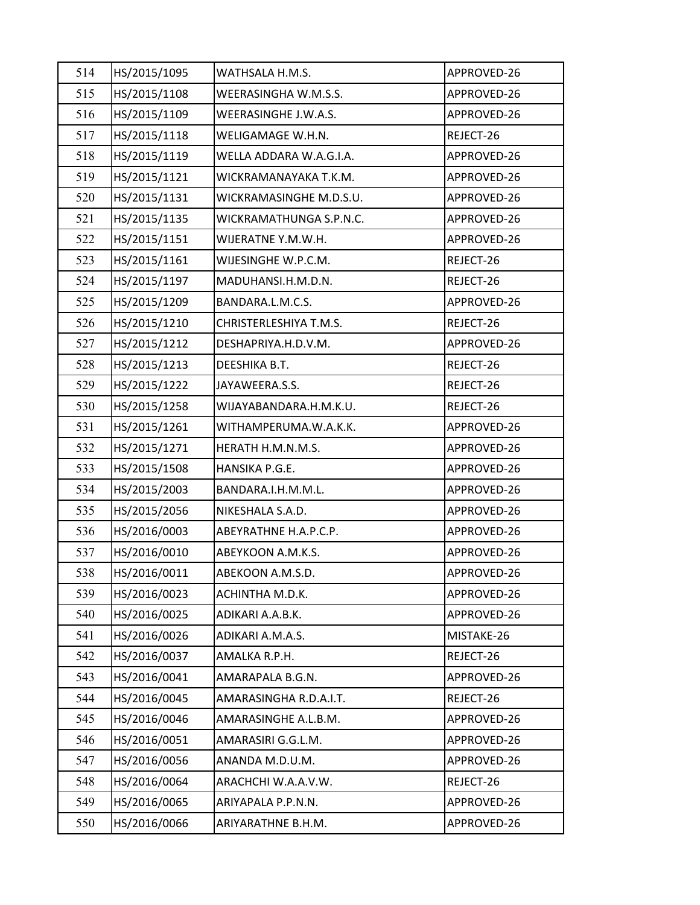| 514 | HS/2015/1095 | WATHSALA H.M.S.         | APPROVED-26 |
|-----|--------------|-------------------------|-------------|
| 515 | HS/2015/1108 | WEERASINGHA W.M.S.S.    | APPROVED-26 |
| 516 | HS/2015/1109 | WEERASINGHE J.W.A.S.    | APPROVED-26 |
| 517 | HS/2015/1118 | WELIGAMAGE W.H.N.       | REJECT-26   |
| 518 | HS/2015/1119 | WELLA ADDARA W.A.G.I.A. | APPROVED-26 |
| 519 | HS/2015/1121 | WICKRAMANAYAKA T.K.M.   | APPROVED-26 |
| 520 | HS/2015/1131 | WICKRAMASINGHE M.D.S.U. | APPROVED-26 |
| 521 | HS/2015/1135 | WICKRAMATHUNGA S.P.N.C. | APPROVED-26 |
| 522 | HS/2015/1151 | WIJERATNE Y.M.W.H.      | APPROVED-26 |
| 523 | HS/2015/1161 | WIJESINGHE W.P.C.M.     | REJECT-26   |
| 524 | HS/2015/1197 | MADUHANSI.H.M.D.N.      | REJECT-26   |
| 525 | HS/2015/1209 | BANDARA.L.M.C.S.        | APPROVED-26 |
| 526 | HS/2015/1210 | CHRISTERLESHIYA T.M.S.  | REJECT-26   |
| 527 | HS/2015/1212 | DESHAPRIYA.H.D.V.M.     | APPROVED-26 |
| 528 | HS/2015/1213 | DEESHIKA B.T.           | REJECT-26   |
| 529 | HS/2015/1222 | JAYAWEERA.S.S.          | REJECT-26   |
| 530 | HS/2015/1258 | WIJAYABANDARA.H.M.K.U.  | REJECT-26   |
| 531 | HS/2015/1261 | WITHAMPERUMA.W.A.K.K.   | APPROVED-26 |
| 532 | HS/2015/1271 | HERATH H.M.N.M.S.       | APPROVED-26 |
| 533 | HS/2015/1508 | HANSIKA P.G.E.          | APPROVED-26 |
| 534 | HS/2015/2003 | BANDARA.I.H.M.M.L.      | APPROVED-26 |
| 535 | HS/2015/2056 | NIKESHALA S.A.D.        | APPROVED-26 |
| 536 | HS/2016/0003 | ABEYRATHNE H.A.P.C.P.   | APPROVED-26 |
| 537 | HS/2016/0010 | ABEYKOON A.M.K.S.       | APPROVED-26 |
| 538 | HS/2016/0011 | ABEKOON A.M.S.D.        | APPROVED-26 |
| 539 | HS/2016/0023 | ACHINTHA M.D.K.         | APPROVED-26 |
| 540 | HS/2016/0025 | ADIKARI A.A.B.K.        | APPROVED-26 |
| 541 | HS/2016/0026 | ADIKARI A.M.A.S.        | MISTAKE-26  |
| 542 | HS/2016/0037 | AMALKA R.P.H.           | REJECT-26   |
| 543 | HS/2016/0041 | AMARAPALA B.G.N.        | APPROVED-26 |
| 544 | HS/2016/0045 | AMARASINGHA R.D.A.I.T.  | REJECT-26   |
| 545 | HS/2016/0046 | AMARASINGHE A.L.B.M.    | APPROVED-26 |
| 546 | HS/2016/0051 | AMARASIRI G.G.L.M.      | APPROVED-26 |
| 547 | HS/2016/0056 | ANANDA M.D.U.M.         | APPROVED-26 |
| 548 | HS/2016/0064 | ARACHCHI W.A.A.V.W.     | REJECT-26   |
| 549 | HS/2016/0065 | ARIYAPALA P.P.N.N.      | APPROVED-26 |
| 550 | HS/2016/0066 | ARIYARATHNE B.H.M.      | APPROVED-26 |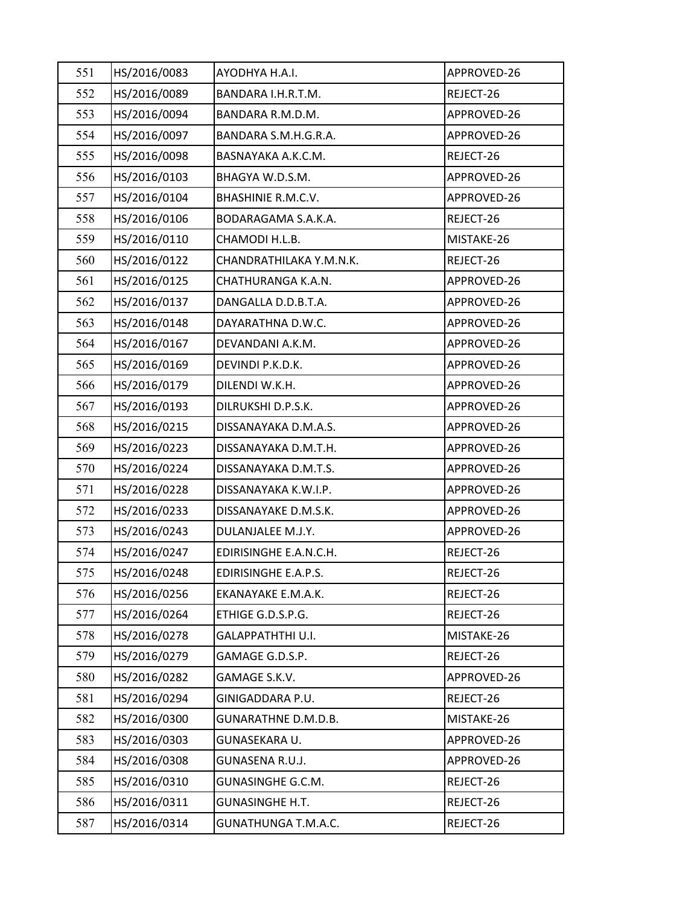| 551 | HS/2016/0083 | AYODHYA H.A.I.             | APPROVED-26 |
|-----|--------------|----------------------------|-------------|
| 552 | HS/2016/0089 | BANDARA I.H.R.T.M.         | REJECT-26   |
| 553 | HS/2016/0094 | BANDARA R.M.D.M.           | APPROVED-26 |
| 554 | HS/2016/0097 | BANDARA S.M.H.G.R.A.       | APPROVED-26 |
| 555 | HS/2016/0098 | BASNAYAKA A.K.C.M.         | REJECT-26   |
| 556 | HS/2016/0103 | BHAGYA W.D.S.M.            | APPROVED-26 |
| 557 | HS/2016/0104 | <b>BHASHINIE R.M.C.V.</b>  | APPROVED-26 |
| 558 | HS/2016/0106 | BODARAGAMA S.A.K.A.        | REJECT-26   |
| 559 | HS/2016/0110 | CHAMODI H.L.B.             | MISTAKE-26  |
| 560 | HS/2016/0122 | CHANDRATHILAKA Y.M.N.K.    | REJECT-26   |
| 561 | HS/2016/0125 | CHATHURANGA K.A.N.         | APPROVED-26 |
| 562 | HS/2016/0137 | DANGALLA D.D.B.T.A.        | APPROVED-26 |
| 563 | HS/2016/0148 | DAYARATHNA D.W.C.          | APPROVED-26 |
| 564 | HS/2016/0167 | DEVANDANI A.K.M.           | APPROVED-26 |
| 565 | HS/2016/0169 | DEVINDI P.K.D.K.           | APPROVED-26 |
| 566 | HS/2016/0179 | DILENDI W.K.H.             | APPROVED-26 |
| 567 | HS/2016/0193 | DILRUKSHI D.P.S.K.         | APPROVED-26 |
| 568 | HS/2016/0215 | DISSANAYAKA D.M.A.S.       | APPROVED-26 |
| 569 | HS/2016/0223 | DISSANAYAKA D.M.T.H.       | APPROVED-26 |
| 570 | HS/2016/0224 | DISSANAYAKA D.M.T.S.       | APPROVED-26 |
| 571 | HS/2016/0228 | DISSANAYAKA K.W.I.P.       | APPROVED-26 |
| 572 | HS/2016/0233 | DISSANAYAKE D.M.S.K.       | APPROVED-26 |
| 573 | HS/2016/0243 | DULANJALEE M.J.Y.          | APPROVED-26 |
| 574 | HS/2016/0247 | EDIRISINGHE E.A.N.C.H.     | REJECT-26   |
| 575 | HS/2016/0248 | EDIRISINGHE E.A.P.S.       | REJECT-26   |
| 576 | HS/2016/0256 | EKANAYAKE E.M.A.K.         | REJECT-26   |
| 577 | HS/2016/0264 | ETHIGE G.D.S.P.G.          | REJECT-26   |
| 578 | HS/2016/0278 | GALAPPATHTHI U.I.          | MISTAKE-26  |
| 579 | HS/2016/0279 | GAMAGE G.D.S.P.            | REJECT-26   |
| 580 | HS/2016/0282 | GAMAGE S.K.V.              | APPROVED-26 |
| 581 | HS/2016/0294 | GINIGADDARA P.U.           | REJECT-26   |
| 582 | HS/2016/0300 | <b>GUNARATHNE D.M.D.B.</b> | MISTAKE-26  |
| 583 | HS/2016/0303 | GUNASEKARA U.              | APPROVED-26 |
| 584 | HS/2016/0308 | GUNASENA R.U.J.            | APPROVED-26 |
| 585 | HS/2016/0310 | <b>GUNASINGHE G.C.M.</b>   | REJECT-26   |
| 586 | HS/2016/0311 | <b>GUNASINGHE H.T.</b>     | REJECT-26   |
| 587 | HS/2016/0314 | <b>GUNATHUNGA T.M.A.C.</b> | REJECT-26   |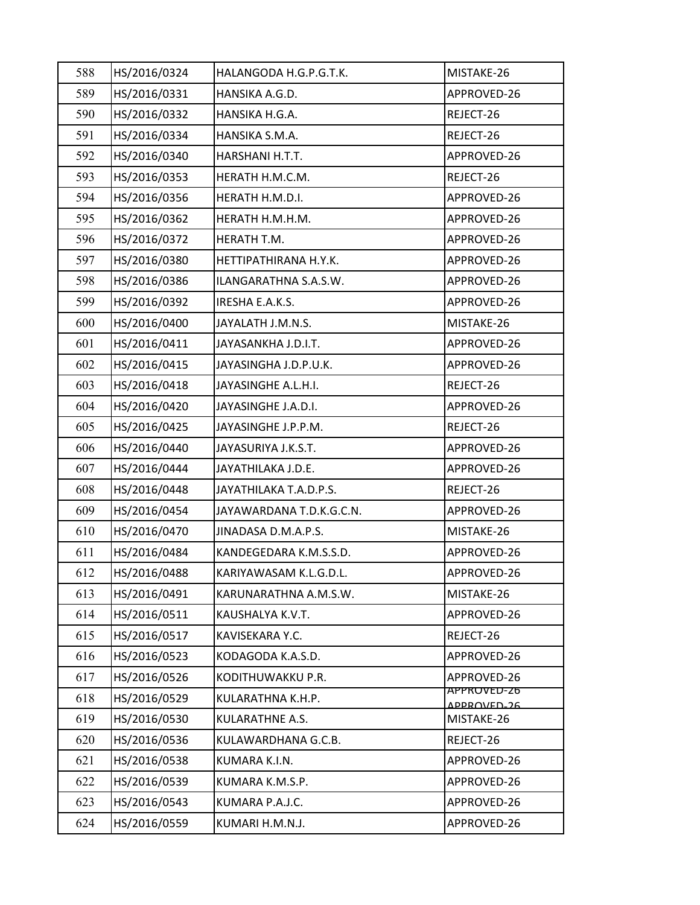| 588 | HS/2016/0324 | HALANGODA H.G.P.G.T.K.   | MISTAKE-26                 |
|-----|--------------|--------------------------|----------------------------|
| 589 | HS/2016/0331 | HANSIKA A.G.D.           | APPROVED-26                |
| 590 | HS/2016/0332 | HANSIKA H.G.A.           | REJECT-26                  |
| 591 | HS/2016/0334 | HANSIKA S.M.A.           | REJECT-26                  |
| 592 | HS/2016/0340 | HARSHANI H.T.T.          | APPROVED-26                |
| 593 | HS/2016/0353 | HERATH H.M.C.M.          | REJECT-26                  |
| 594 | HS/2016/0356 | HERATH H.M.D.I.          | APPROVED-26                |
| 595 | HS/2016/0362 | HERATH H.M.H.M.          | APPROVED-26                |
| 596 | HS/2016/0372 | HERATH T.M.              | APPROVED-26                |
| 597 | HS/2016/0380 | HETTIPATHIRANA H.Y.K.    | APPROVED-26                |
| 598 | HS/2016/0386 | ILANGARATHNA S.A.S.W.    | APPROVED-26                |
| 599 | HS/2016/0392 | IRESHA E.A.K.S.          | APPROVED-26                |
| 600 | HS/2016/0400 | JAYALATH J.M.N.S.        | MISTAKE-26                 |
| 601 | HS/2016/0411 | JAYASANKHA J.D.I.T.      | APPROVED-26                |
| 602 | HS/2016/0415 | JAYASINGHA J.D.P.U.K.    | APPROVED-26                |
| 603 | HS/2016/0418 | JAYASINGHE A.L.H.I.      | REJECT-26                  |
| 604 | HS/2016/0420 | JAYASINGHE J.A.D.I.      | APPROVED-26                |
| 605 | HS/2016/0425 | JAYASINGHE J.P.P.M.      | REJECT-26                  |
| 606 | HS/2016/0440 | JAYASURIYA J.K.S.T.      | APPROVED-26                |
| 607 | HS/2016/0444 | JAYATHILAKA J.D.E.       | APPROVED-26                |
| 608 | HS/2016/0448 | JAYATHILAKA T.A.D.P.S.   | REJECT-26                  |
| 609 | HS/2016/0454 | JAYAWARDANA T.D.K.G.C.N. | APPROVED-26                |
| 610 | HS/2016/0470 | JINADASA D.M.A.P.S.      | MISTAKE-26                 |
| 611 | HS/2016/0484 | KANDEGEDARA K.M.S.S.D.   | APPROVED-26                |
| 612 | HS/2016/0488 | KARIYAWASAM K.L.G.D.L.   | APPROVED-26                |
| 613 | HS/2016/0491 | KARUNARATHNA A.M.S.W.    | MISTAKE-26                 |
| 614 | HS/2016/0511 | KAUSHALYA K.V.T.         | APPROVED-26                |
| 615 | HS/2016/0517 | KAVISEKARA Y.C.          | REJECT-26                  |
| 616 | HS/2016/0523 | KODAGODA K.A.S.D.        | APPROVED-26                |
| 617 | HS/2016/0526 | KODITHUWAKKU P.R.        | APPROVED-26                |
| 618 | HS/2016/0529 | KULARATHNA K.H.P.        | APPROVED-26<br>ADDROVED-26 |
| 619 | HS/2016/0530 | KULARATHNE A.S.          | MISTAKE-26                 |
| 620 | HS/2016/0536 | KULAWARDHANA G.C.B.      | REJECT-26                  |
| 621 | HS/2016/0538 | KUMARA K.I.N.            | APPROVED-26                |
| 622 | HS/2016/0539 | KUMARA K.M.S.P.          | APPROVED-26                |
| 623 | HS/2016/0543 | KUMARA P.A.J.C.          | APPROVED-26                |
| 624 | HS/2016/0559 | KUMARI H.M.N.J.          | APPROVED-26                |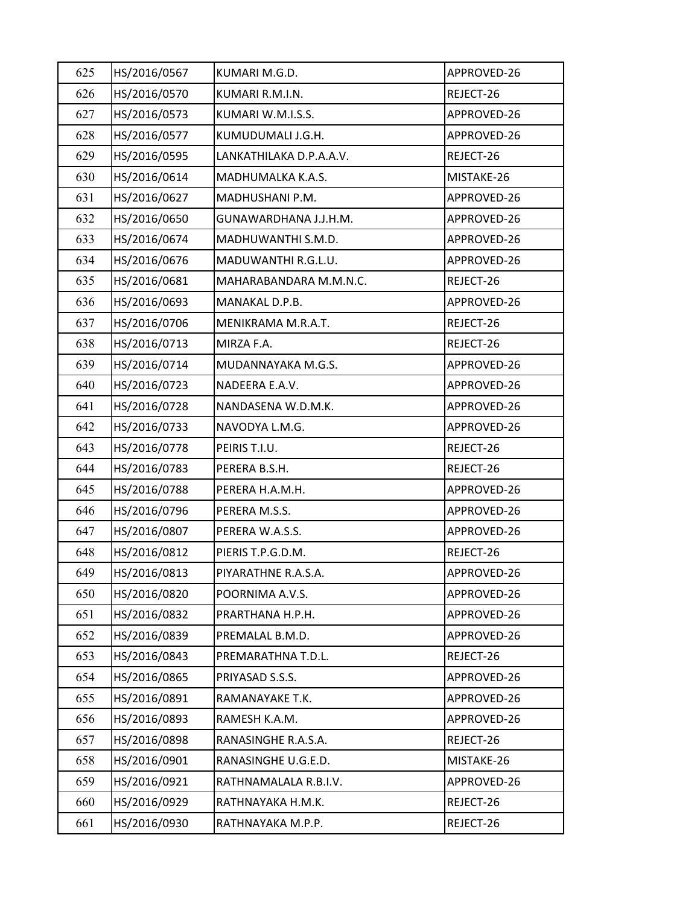| 625 | HS/2016/0567 | KUMARI M.G.D.           | APPROVED-26 |
|-----|--------------|-------------------------|-------------|
| 626 | HS/2016/0570 | KUMARI R.M.I.N.         | REJECT-26   |
| 627 | HS/2016/0573 | KUMARI W.M.I.S.S.       | APPROVED-26 |
| 628 | HS/2016/0577 | KUMUDUMALI J.G.H.       | APPROVED-26 |
| 629 | HS/2016/0595 | LANKATHILAKA D.P.A.A.V. | REJECT-26   |
| 630 | HS/2016/0614 | MADHUMALKA K.A.S.       | MISTAKE-26  |
| 631 | HS/2016/0627 | MADHUSHANI P.M.         | APPROVED-26 |
| 632 | HS/2016/0650 | GUNAWARDHANA J.J.H.M.   | APPROVED-26 |
| 633 | HS/2016/0674 | MADHUWANTHI S.M.D.      | APPROVED-26 |
| 634 | HS/2016/0676 | MADUWANTHI R.G.L.U.     | APPROVED-26 |
| 635 | HS/2016/0681 | MAHARABANDARA M.M.N.C.  | REJECT-26   |
| 636 | HS/2016/0693 | MANAKAL D.P.B.          | APPROVED-26 |
| 637 | HS/2016/0706 | MENIKRAMA M.R.A.T.      | REJECT-26   |
| 638 | HS/2016/0713 | MIRZA F.A.              | REJECT-26   |
| 639 | HS/2016/0714 | MUDANNAYAKA M.G.S.      | APPROVED-26 |
| 640 | HS/2016/0723 | NADEERA E.A.V.          | APPROVED-26 |
| 641 | HS/2016/0728 | NANDASENA W.D.M.K.      | APPROVED-26 |
| 642 | HS/2016/0733 | NAVODYA L.M.G.          | APPROVED-26 |
| 643 | HS/2016/0778 | PEIRIS T.I.U.           | REJECT-26   |
| 644 | HS/2016/0783 | PERERA B.S.H.           | REJECT-26   |
| 645 | HS/2016/0788 | PERERA H.A.M.H.         | APPROVED-26 |
| 646 | HS/2016/0796 | PERERA M.S.S.           | APPROVED-26 |
| 647 | HS/2016/0807 | PERERA W.A.S.S.         | APPROVED-26 |
| 648 | HS/2016/0812 | PIERIS T.P.G.D.M.       | REJECT-26   |
| 649 | HS/2016/0813 | PIYARATHNE R.A.S.A.     | APPROVED-26 |
| 650 | HS/2016/0820 | POORNIMA A.V.S.         | APPROVED-26 |
| 651 | HS/2016/0832 | PRARTHANA H.P.H.        | APPROVED-26 |
| 652 | HS/2016/0839 | PREMALAL B.M.D.         | APPROVED-26 |
| 653 | HS/2016/0843 | PREMARATHNA T.D.L.      | REJECT-26   |
| 654 | HS/2016/0865 | PRIYASAD S.S.S.         | APPROVED-26 |
| 655 | HS/2016/0891 | RAMANAYAKE T.K.         | APPROVED-26 |
| 656 | HS/2016/0893 | RAMESH K.A.M.           | APPROVED-26 |
| 657 | HS/2016/0898 | RANASINGHE R.A.S.A.     | REJECT-26   |
| 658 | HS/2016/0901 | RANASINGHE U.G.E.D.     | MISTAKE-26  |
| 659 | HS/2016/0921 | RATHNAMALALA R.B.I.V.   | APPROVED-26 |
| 660 | HS/2016/0929 | RATHNAYAKA H.M.K.       | REJECT-26   |
| 661 | HS/2016/0930 | RATHNAYAKA M.P.P.       | REJECT-26   |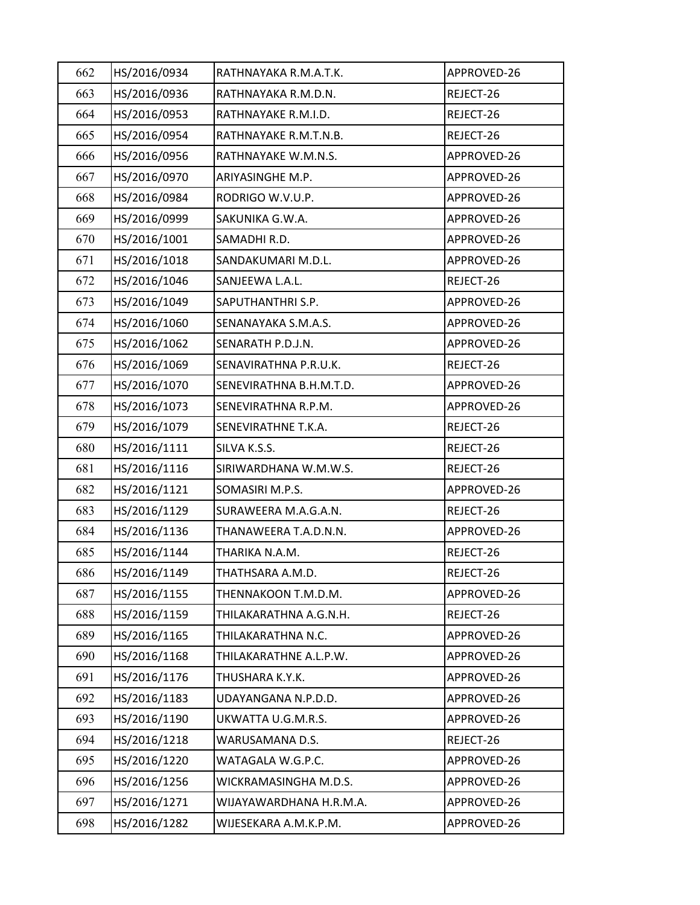| 662 | HS/2016/0934 | RATHNAYAKA R.M.A.T.K.   | APPROVED-26 |
|-----|--------------|-------------------------|-------------|
| 663 | HS/2016/0936 | RATHNAYAKA R.M.D.N.     | REJECT-26   |
| 664 | HS/2016/0953 | RATHNAYAKE R.M.I.D.     | REJECT-26   |
| 665 | HS/2016/0954 | RATHNAYAKE R.M.T.N.B.   | REJECT-26   |
| 666 | HS/2016/0956 | RATHNAYAKE W.M.N.S.     | APPROVED-26 |
| 667 | HS/2016/0970 | ARIYASINGHE M.P.        | APPROVED-26 |
| 668 | HS/2016/0984 | RODRIGO W.V.U.P.        | APPROVED-26 |
| 669 | HS/2016/0999 | SAKUNIKA G.W.A.         | APPROVED-26 |
| 670 | HS/2016/1001 | SAMADHI R.D.            | APPROVED-26 |
| 671 | HS/2016/1018 | SANDAKUMARI M.D.L.      | APPROVED-26 |
| 672 | HS/2016/1046 | SANJEEWA L.A.L.         | REJECT-26   |
| 673 | HS/2016/1049 | SAPUTHANTHRI S.P.       | APPROVED-26 |
| 674 | HS/2016/1060 | SENANAYAKA S.M.A.S.     | APPROVED-26 |
| 675 | HS/2016/1062 | SENARATH P.D.J.N.       | APPROVED-26 |
| 676 | HS/2016/1069 | SENAVIRATHNA P.R.U.K.   | REJECT-26   |
| 677 | HS/2016/1070 | SENEVIRATHNA B.H.M.T.D. | APPROVED-26 |
| 678 | HS/2016/1073 | SENEVIRATHNA R.P.M.     | APPROVED-26 |
| 679 | HS/2016/1079 | SENEVIRATHNE T.K.A.     | REJECT-26   |
| 680 | HS/2016/1111 | SILVA K.S.S.            | REJECT-26   |
| 681 | HS/2016/1116 | SIRIWARDHANA W.M.W.S.   | REJECT-26   |
| 682 | HS/2016/1121 | SOMASIRI M.P.S.         | APPROVED-26 |
| 683 | HS/2016/1129 | SURAWEERA M.A.G.A.N.    | REJECT-26   |
| 684 | HS/2016/1136 | THANAWEERA T.A.D.N.N.   | APPROVED-26 |
| 685 | HS/2016/1144 | THARIKA N.A.M.          | REJECT-26   |
| 686 | HS/2016/1149 | THATHSARA A.M.D.        | REJECT-26   |
| 687 | HS/2016/1155 | THENNAKOON T.M.D.M.     | APPROVED-26 |
| 688 | HS/2016/1159 | THILAKARATHNA A.G.N.H.  | REJECT-26   |
| 689 | HS/2016/1165 | THILAKARATHNA N.C.      | APPROVED-26 |
| 690 | HS/2016/1168 | THILAKARATHNE A.L.P.W.  | APPROVED-26 |
| 691 | HS/2016/1176 | THUSHARA K.Y.K.         | APPROVED-26 |
| 692 | HS/2016/1183 | UDAYANGANA N.P.D.D.     | APPROVED-26 |
| 693 | HS/2016/1190 | UKWATTA U.G.M.R.S.      | APPROVED-26 |
| 694 | HS/2016/1218 | WARUSAMANA D.S.         | REJECT-26   |
| 695 | HS/2016/1220 | WATAGALA W.G.P.C.       | APPROVED-26 |
| 696 | HS/2016/1256 | WICKRAMASINGHA M.D.S.   | APPROVED-26 |
| 697 | HS/2016/1271 | WIJAYAWARDHANA H.R.M.A. | APPROVED-26 |
| 698 | HS/2016/1282 | WIJESEKARA A.M.K.P.M.   | APPROVED-26 |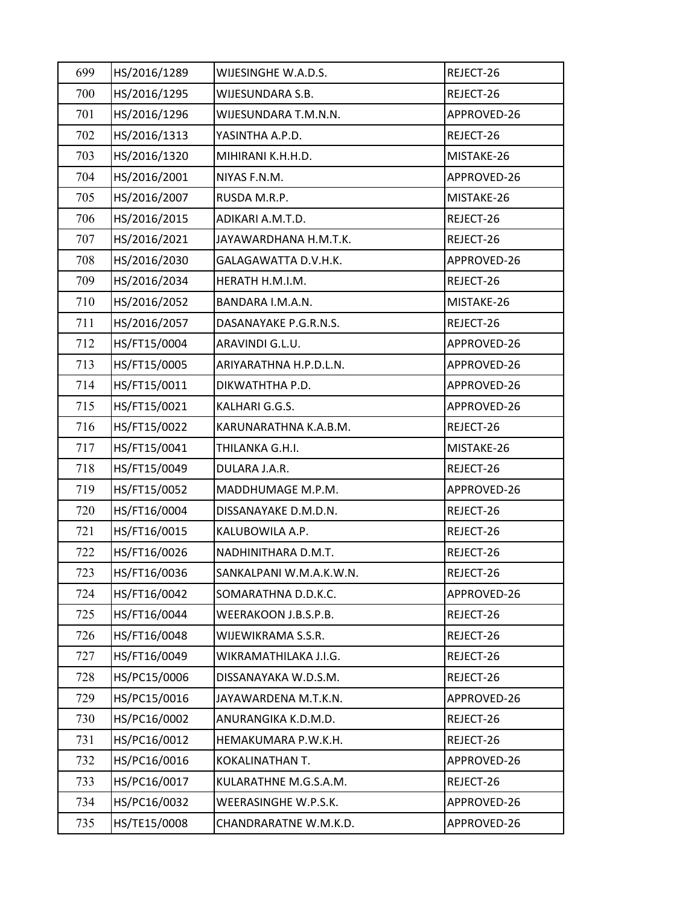| 699 | HS/2016/1289 | WIJESINGHE W.A.D.S.     | REJECT-26   |
|-----|--------------|-------------------------|-------------|
| 700 | HS/2016/1295 | WIJESUNDARA S.B.        | REJECT-26   |
| 701 | HS/2016/1296 | WIJESUNDARA T.M.N.N.    | APPROVED-26 |
| 702 | HS/2016/1313 | YASINTHA A.P.D.         | REJECT-26   |
| 703 | HS/2016/1320 | MIHIRANI K.H.H.D.       | MISTAKE-26  |
| 704 | HS/2016/2001 | NIYAS F.N.M.            | APPROVED-26 |
| 705 | HS/2016/2007 | RUSDA M.R.P.            | MISTAKE-26  |
| 706 | HS/2016/2015 | ADIKARI A.M.T.D.        | REJECT-26   |
| 707 | HS/2016/2021 | JAYAWARDHANA H.M.T.K.   | REJECT-26   |
| 708 | HS/2016/2030 | GALAGAWATTA D.V.H.K.    | APPROVED-26 |
| 709 | HS/2016/2034 | HERATH H.M.I.M.         | REJECT-26   |
| 710 | HS/2016/2052 | BANDARA I.M.A.N.        | MISTAKE-26  |
| 711 | HS/2016/2057 | DASANAYAKE P.G.R.N.S.   | REJECT-26   |
| 712 | HS/FT15/0004 | ARAVINDI G.L.U.         | APPROVED-26 |
| 713 | HS/FT15/0005 | ARIYARATHNA H.P.D.L.N.  | APPROVED-26 |
| 714 | HS/FT15/0011 | DIKWATHTHA P.D.         | APPROVED-26 |
| 715 | HS/FT15/0021 | KALHARI G.G.S.          | APPROVED-26 |
| 716 | HS/FT15/0022 | KARUNARATHNA K.A.B.M.   | REJECT-26   |
| 717 | HS/FT15/0041 | THILANKA G.H.I.         | MISTAKE-26  |
| 718 | HS/FT15/0049 | DULARA J.A.R.           | REJECT-26   |
| 719 | HS/FT15/0052 | MADDHUMAGE M.P.M.       | APPROVED-26 |
| 720 | HS/FT16/0004 | DISSANAYAKE D.M.D.N.    | REJECT-26   |
| 721 | HS/FT16/0015 | KALUBOWILA A.P.         | REJECT-26   |
| 722 | HS/FT16/0026 | NADHINITHARA D.M.T.     | REJECT-26   |
| 723 | HS/FT16/0036 | SANKALPANI W.M.A.K.W.N. | REJECT-26   |
| 724 | HS/FT16/0042 | SOMARATHNA D.D.K.C.     | APPROVED-26 |
| 725 | HS/FT16/0044 | WEERAKOON J.B.S.P.B.    | REJECT-26   |
| 726 | HS/FT16/0048 | WIJEWIKRAMA S.S.R.      | REJECT-26   |
| 727 | HS/FT16/0049 | WIKRAMATHILAKA J.I.G.   | REJECT-26   |
| 728 | HS/PC15/0006 | DISSANAYAKA W.D.S.M.    | REJECT-26   |
| 729 | HS/PC15/0016 | JAYAWARDENA M.T.K.N.    | APPROVED-26 |
| 730 | HS/PC16/0002 | ANURANGIKA K.D.M.D.     | REJECT-26   |
| 731 | HS/PC16/0012 | HEMAKUMARA P.W.K.H.     | REJECT-26   |
| 732 | HS/PC16/0016 | KOKALINATHAN T.         | APPROVED-26 |
| 733 | HS/PC16/0017 | KULARATHNE M.G.S.A.M.   | REJECT-26   |
| 734 | HS/PC16/0032 | WEERASINGHE W.P.S.K.    | APPROVED-26 |
| 735 | HS/TE15/0008 | CHANDRARATNE W.M.K.D.   | APPROVED-26 |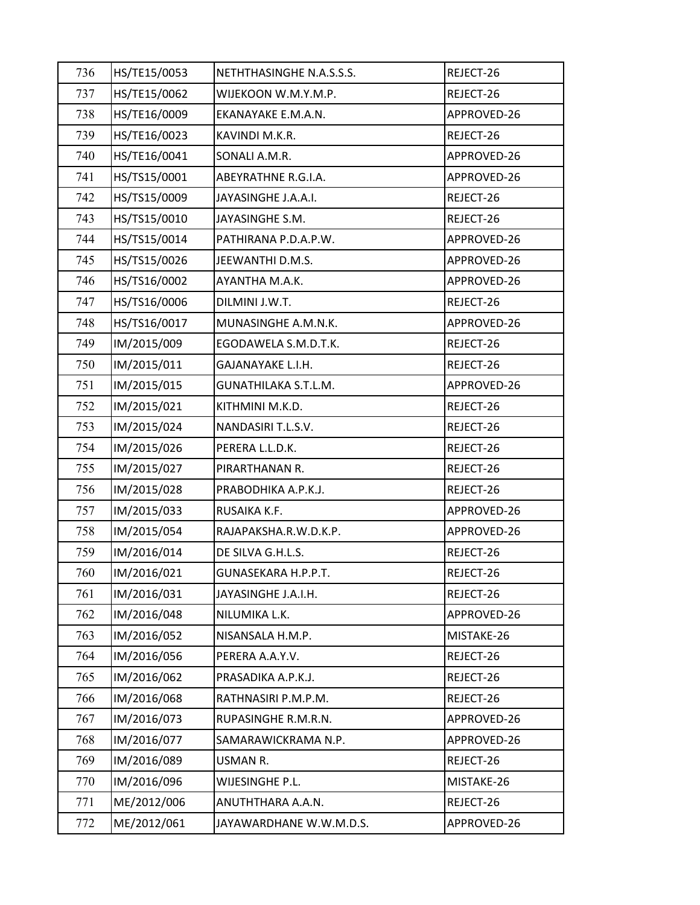| 736 | HS/TE15/0053 | NETHTHASINGHE N.A.S.S.S. | REJECT-26   |
|-----|--------------|--------------------------|-------------|
| 737 | HS/TE15/0062 | WIJEKOON W.M.Y.M.P.      | REJECT-26   |
| 738 | HS/TE16/0009 | EKANAYAKE E.M.A.N.       | APPROVED-26 |
| 739 | HS/TE16/0023 | KAVINDI M.K.R.           | REJECT-26   |
| 740 | HS/TE16/0041 | SONALI A.M.R.            | APPROVED-26 |
| 741 | HS/TS15/0001 | ABEYRATHNE R.G.I.A.      | APPROVED-26 |
| 742 | HS/TS15/0009 | JAYASINGHE J.A.A.I.      | REJECT-26   |
| 743 | HS/TS15/0010 | JAYASINGHE S.M.          | REJECT-26   |
| 744 | HS/TS15/0014 | PATHIRANA P.D.A.P.W.     | APPROVED-26 |
| 745 | HS/TS15/0026 | JEEWANTHI D.M.S.         | APPROVED-26 |
| 746 | HS/TS16/0002 | AYANTHA M.A.K.           | APPROVED-26 |
| 747 | HS/TS16/0006 | DILMINI J.W.T.           | REJECT-26   |
| 748 | HS/TS16/0017 | MUNASINGHE A.M.N.K.      | APPROVED-26 |
| 749 | IM/2015/009  | EGODAWELA S.M.D.T.K.     | REJECT-26   |
| 750 | IM/2015/011  | GAJANAYAKE L.I.H.        | REJECT-26   |
| 751 | IM/2015/015  | GUNATHILAKA S.T.L.M.     | APPROVED-26 |
| 752 | IM/2015/021  | KITHMINI M.K.D.          | REJECT-26   |
| 753 | IM/2015/024  | NANDASIRI T.L.S.V.       | REJECT-26   |
| 754 | IM/2015/026  | PERERA L.L.D.K.          | REJECT-26   |
| 755 | IM/2015/027  | PIRARTHANAN R.           | REJECT-26   |
| 756 | IM/2015/028  | PRABODHIKA A.P.K.J.      | REJECT-26   |
| 757 | IM/2015/033  | RUSAIKA K.F.             | APPROVED-26 |
| 758 | IM/2015/054  | RAJAPAKSHA.R.W.D.K.P.    | APPROVED-26 |
| 759 | IM/2016/014  | DE SILVA G.H.L.S.        | REJECT-26   |
| 760 | IM/2016/021  | GUNASEKARA H.P.P.T.      | REJECT-26   |
| 761 | IM/2016/031  | JAYASINGHE J.A.I.H.      | REJECT-26   |
| 762 | IM/2016/048  | NILUMIKA L.K.            | APPROVED-26 |
| 763 | IM/2016/052  | NISANSALA H.M.P.         | MISTAKE-26  |
| 764 | IM/2016/056  | PERERA A.A.Y.V.          | REJECT-26   |
| 765 | IM/2016/062  | PRASADIKA A.P.K.J.       | REJECT-26   |
| 766 | IM/2016/068  | RATHNASIRI P.M.P.M.      | REJECT-26   |
| 767 | IM/2016/073  | RUPASINGHE R.M.R.N.      | APPROVED-26 |
| 768 | IM/2016/077  | SAMARAWICKRAMA N.P.      | APPROVED-26 |
| 769 | IM/2016/089  | USMAN R.                 | REJECT-26   |
| 770 | IM/2016/096  | WIJESINGHE P.L.          | MISTAKE-26  |
| 771 | ME/2012/006  | ANUTHTHARA A.A.N.        | REJECT-26   |
| 772 | ME/2012/061  | JAYAWARDHANE W.W.M.D.S.  | APPROVED-26 |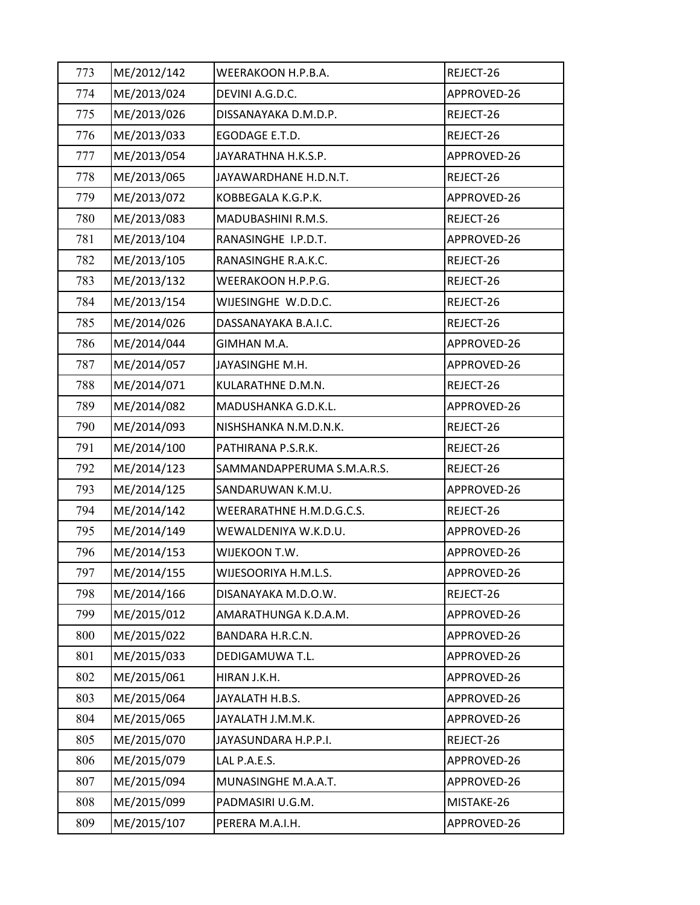| 773 | ME/2012/142 | WEERAKOON H.P.B.A.         | REJECT-26   |
|-----|-------------|----------------------------|-------------|
| 774 | ME/2013/024 | DEVINI A.G.D.C.            | APPROVED-26 |
| 775 | ME/2013/026 | DISSANAYAKA D.M.D.P.       | REJECT-26   |
| 776 | ME/2013/033 | EGODAGE E.T.D.             | REJECT-26   |
| 777 | ME/2013/054 | JAYARATHNA H.K.S.P.        | APPROVED-26 |
| 778 | ME/2013/065 | JAYAWARDHANE H.D.N.T.      | REJECT-26   |
| 779 | ME/2013/072 | KOBBEGALA K.G.P.K.         | APPROVED-26 |
| 780 | ME/2013/083 | MADUBASHINI R.M.S.         | REJECT-26   |
| 781 | ME/2013/104 | RANASINGHE I.P.D.T.        | APPROVED-26 |
| 782 | ME/2013/105 | RANASINGHE R.A.K.C.        | REJECT-26   |
| 783 | ME/2013/132 | WEERAKOON H.P.P.G.         | REJECT-26   |
| 784 | ME/2013/154 | WIJESINGHE W.D.D.C.        | REJECT-26   |
| 785 | ME/2014/026 | DASSANAYAKA B.A.I.C.       | REJECT-26   |
| 786 | ME/2014/044 | GIMHAN M.A.                | APPROVED-26 |
| 787 | ME/2014/057 | JAYASINGHE M.H.            | APPROVED-26 |
| 788 | ME/2014/071 | KULARATHNE D.M.N.          | REJECT-26   |
| 789 | ME/2014/082 | MADUSHANKA G.D.K.L.        | APPROVED-26 |
| 790 | ME/2014/093 | NISHSHANKA N.M.D.N.K.      | REJECT-26   |
| 791 | ME/2014/100 | PATHIRANA P.S.R.K.         | REJECT-26   |
| 792 | ME/2014/123 | SAMMANDAPPERUMA S.M.A.R.S. | REJECT-26   |
| 793 | ME/2014/125 | SANDARUWAN K.M.U.          | APPROVED-26 |
| 794 | ME/2014/142 | WEERARATHNE H.M.D.G.C.S.   | REJECT-26   |
| 795 | ME/2014/149 | WEWALDENIYA W.K.D.U.       | APPROVED-26 |
| 796 | ME/2014/153 | WIJEKOON T.W.              | APPROVED-26 |
| 797 | ME/2014/155 | WIJESOORIYA H.M.L.S.       | APPROVED-26 |
| 798 | ME/2014/166 | DISANAYAKA M.D.O.W.        | REJECT-26   |
| 799 | ME/2015/012 | AMARATHUNGA K.D.A.M.       | APPROVED-26 |
| 800 | ME/2015/022 | BANDARA H.R.C.N.           | APPROVED-26 |
| 801 | ME/2015/033 | DEDIGAMUWA T.L.            | APPROVED-26 |
| 802 | ME/2015/061 | HIRAN J.K.H.               | APPROVED-26 |
| 803 | ME/2015/064 | JAYALATH H.B.S.            | APPROVED-26 |
| 804 | ME/2015/065 | JAYALATH J.M.M.K.          | APPROVED-26 |
| 805 | ME/2015/070 | JAYASUNDARA H.P.P.I.       | REJECT-26   |
| 806 | ME/2015/079 | LAL P.A.E.S.               | APPROVED-26 |
| 807 | ME/2015/094 | MUNASINGHE M.A.A.T.        | APPROVED-26 |
| 808 | ME/2015/099 | PADMASIRI U.G.M.           | MISTAKE-26  |
| 809 | ME/2015/107 | PERERA M.A.I.H.            | APPROVED-26 |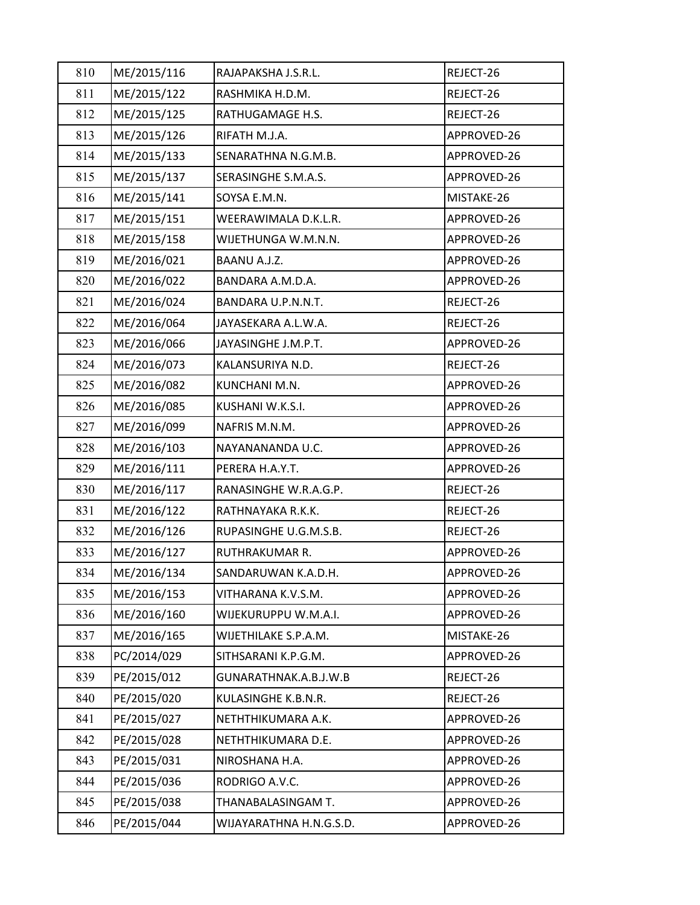| 810 | ME/2015/116 | RAJAPAKSHA J.S.R.L.     | REJECT-26   |
|-----|-------------|-------------------------|-------------|
| 811 | ME/2015/122 | RASHMIKA H.D.M.         | REJECT-26   |
| 812 | ME/2015/125 | RATHUGAMAGE H.S.        | REJECT-26   |
| 813 | ME/2015/126 | RIFATH M.J.A.           | APPROVED-26 |
| 814 | ME/2015/133 | SENARATHNA N.G.M.B.     | APPROVED-26 |
| 815 | ME/2015/137 | SERASINGHE S.M.A.S.     | APPROVED-26 |
| 816 | ME/2015/141 | SOYSA E.M.N.            | MISTAKE-26  |
| 817 | ME/2015/151 | WEERAWIMALA D.K.L.R.    | APPROVED-26 |
| 818 | ME/2015/158 | WIJETHUNGA W.M.N.N.     | APPROVED-26 |
| 819 | ME/2016/021 | BAANU A.J.Z.            | APPROVED-26 |
| 820 | ME/2016/022 | BANDARA A.M.D.A.        | APPROVED-26 |
| 821 | ME/2016/024 | BANDARA U.P.N.N.T.      | REJECT-26   |
| 822 | ME/2016/064 | JAYASEKARA A.L.W.A.     | REJECT-26   |
| 823 | ME/2016/066 | JAYASINGHE J.M.P.T.     | APPROVED-26 |
| 824 | ME/2016/073 | KALANSURIYA N.D.        | REJECT-26   |
| 825 | ME/2016/082 | KUNCHANI M.N.           | APPROVED-26 |
| 826 | ME/2016/085 | KUSHANI W.K.S.I.        | APPROVED-26 |
| 827 | ME/2016/099 | NAFRIS M.N.M.           | APPROVED-26 |
| 828 | ME/2016/103 | NAYANANANDA U.C.        | APPROVED-26 |
| 829 | ME/2016/111 | PERERA H.A.Y.T.         | APPROVED-26 |
| 830 | ME/2016/117 | RANASINGHE W.R.A.G.P.   | REJECT-26   |
| 831 | ME/2016/122 | RATHNAYAKA R.K.K.       | REJECT-26   |
| 832 | ME/2016/126 | RUPASINGHE U.G.M.S.B.   | REJECT-26   |
| 833 | ME/2016/127 | <b>RUTHRAKUMAR R.</b>   | APPROVED-26 |
| 834 | ME/2016/134 | SANDARUWAN K.A.D.H.     | APPROVED-26 |
| 835 | ME/2016/153 | VITHARANA K.V.S.M.      | APPROVED-26 |
| 836 | ME/2016/160 | WIJEKURUPPU W.M.A.I.    | APPROVED-26 |
| 837 | ME/2016/165 | WIJETHILAKE S.P.A.M.    | MISTAKE-26  |
| 838 | PC/2014/029 | SITHSARANI K.P.G.M.     | APPROVED-26 |
| 839 | PE/2015/012 | GUNARATHNAK.A.B.J.W.B   | REJECT-26   |
| 840 | PE/2015/020 | KULASINGHE K.B.N.R.     | REJECT-26   |
| 841 | PE/2015/027 | NETHTHIKUMARA A.K.      | APPROVED-26 |
| 842 | PE/2015/028 | NETHTHIKUMARA D.E.      | APPROVED-26 |
| 843 | PE/2015/031 | NIROSHANA H.A.          | APPROVED-26 |
| 844 | PE/2015/036 | RODRIGO A.V.C.          | APPROVED-26 |
| 845 | PE/2015/038 | THANABALASINGAM T.      | APPROVED-26 |
| 846 | PE/2015/044 | WIJAYARATHNA H.N.G.S.D. | APPROVED-26 |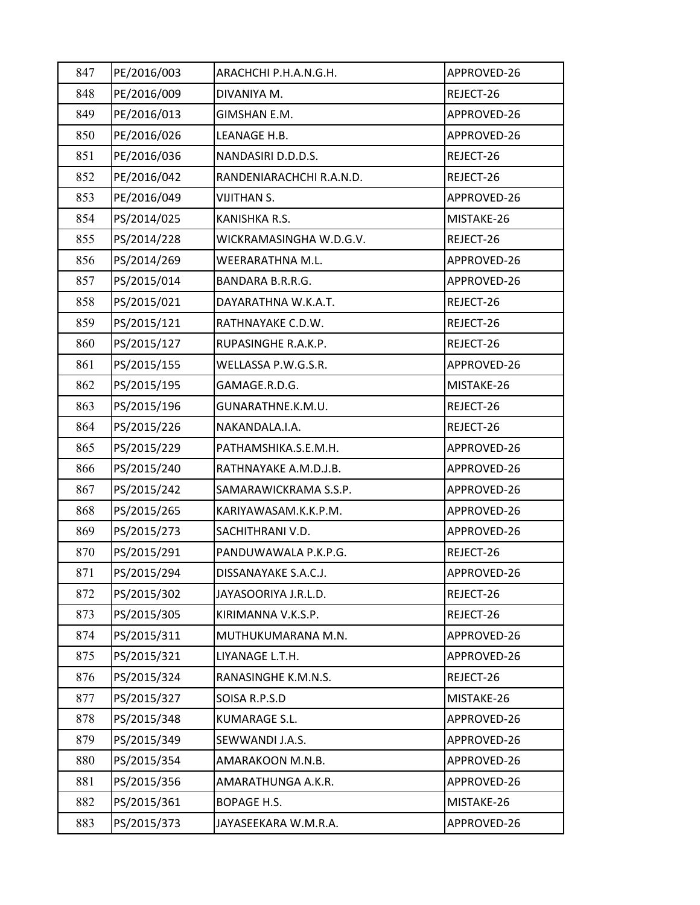| 847 | PE/2016/003 | ARACHCHI P.H.A.N.G.H.    | APPROVED-26 |
|-----|-------------|--------------------------|-------------|
| 848 | PE/2016/009 | DIVANIYA M.              | REJECT-26   |
| 849 | PE/2016/013 | GIMSHAN E.M.             | APPROVED-26 |
| 850 | PE/2016/026 | LEANAGE H.B.             | APPROVED-26 |
| 851 | PE/2016/036 | NANDASIRI D.D.D.S.       | REJECT-26   |
| 852 | PE/2016/042 | RANDENIARACHCHI R.A.N.D. | REJECT-26   |
| 853 | PE/2016/049 | <b>VIJITHAN S.</b>       | APPROVED-26 |
| 854 | PS/2014/025 | KANISHKA R.S.            | MISTAKE-26  |
| 855 | PS/2014/228 | WICKRAMASINGHA W.D.G.V.  | REJECT-26   |
| 856 | PS/2014/269 | WEERARATHNA M.L.         | APPROVED-26 |
| 857 | PS/2015/014 | BANDARA B.R.R.G.         | APPROVED-26 |
| 858 | PS/2015/021 | DAYARATHNA W.K.A.T.      | REJECT-26   |
| 859 | PS/2015/121 | RATHNAYAKE C.D.W.        | REJECT-26   |
| 860 | PS/2015/127 | RUPASINGHE R.A.K.P.      | REJECT-26   |
| 861 | PS/2015/155 | WELLASSA P.W.G.S.R.      | APPROVED-26 |
| 862 | PS/2015/195 | GAMAGE.R.D.G.            | MISTAKE-26  |
| 863 | PS/2015/196 | GUNARATHNE.K.M.U.        | REJECT-26   |
| 864 | PS/2015/226 | NAKANDALA.I.A.           | REJECT-26   |
| 865 | PS/2015/229 | PATHAMSHIKA.S.E.M.H.     | APPROVED-26 |
| 866 | PS/2015/240 | RATHNAYAKE A.M.D.J.B.    | APPROVED-26 |
| 867 | PS/2015/242 | SAMARAWICKRAMA S.S.P.    | APPROVED-26 |
| 868 | PS/2015/265 | KARIYAWASAM.K.K.P.M.     | APPROVED-26 |
| 869 | PS/2015/273 | SACHITHRANI V.D.         | APPROVED-26 |
| 870 | PS/2015/291 | PANDUWAWALA P.K.P.G.     | REJECT-26   |
| 871 | PS/2015/294 | DISSANAYAKE S.A.C.J.     | APPROVED-26 |
| 872 | PS/2015/302 | JAYASOORIYA J.R.L.D.     | REJECT-26   |
| 873 | PS/2015/305 | KIRIMANNA V.K.S.P.       | REJECT-26   |
| 874 | PS/2015/311 | MUTHUKUMARANA M.N.       | APPROVED-26 |
| 875 | PS/2015/321 | LIYANAGE L.T.H.          | APPROVED-26 |
| 876 | PS/2015/324 | RANASINGHE K.M.N.S.      | REJECT-26   |
| 877 | PS/2015/327 | SOISA R.P.S.D            | MISTAKE-26  |
| 878 | PS/2015/348 | KUMARAGE S.L.            | APPROVED-26 |
| 879 | PS/2015/349 | SEWWANDI J.A.S.          | APPROVED-26 |
| 880 | PS/2015/354 | AMARAKOON M.N.B.         | APPROVED-26 |
| 881 | PS/2015/356 | AMARATHUNGA A.K.R.       | APPROVED-26 |
| 882 | PS/2015/361 | BOPAGE H.S.              | MISTAKE-26  |
| 883 | PS/2015/373 | JAYASEEKARA W.M.R.A.     | APPROVED-26 |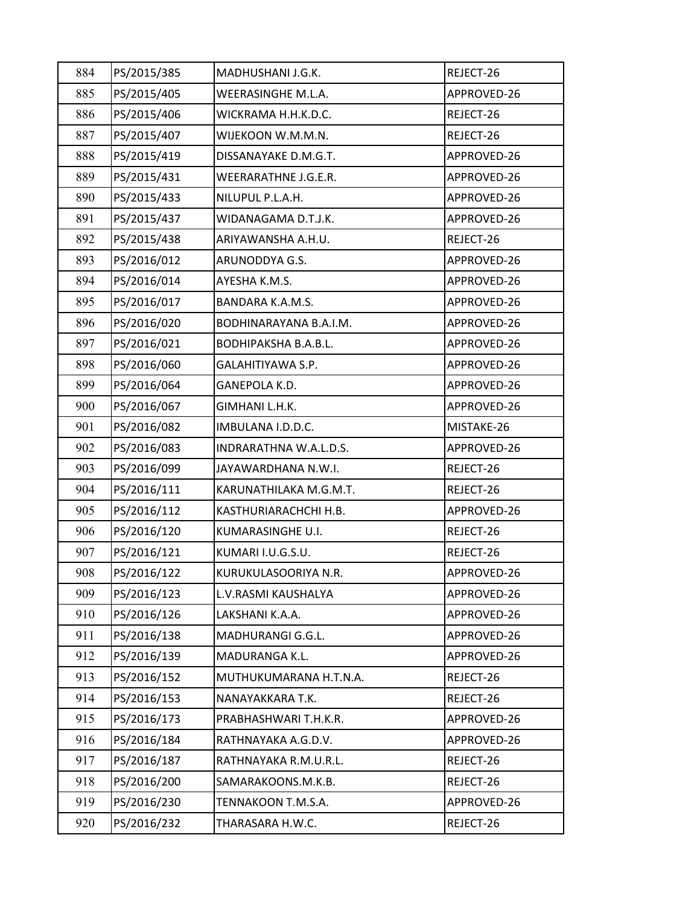| 884 | PS/2015/385 | MADHUSHANI J.G.K.      | REJECT-26   |
|-----|-------------|------------------------|-------------|
| 885 | PS/2015/405 | WEERASINGHE M.L.A.     | APPROVED-26 |
| 886 | PS/2015/406 | WICKRAMA H.H.K.D.C.    | REJECT-26   |
| 887 | PS/2015/407 | WIJEKOON W.M.M.N.      | REJECT-26   |
| 888 | PS/2015/419 | DISSANAYAKE D.M.G.T.   | APPROVED-26 |
| 889 | PS/2015/431 | WEERARATHNE J.G.E.R.   | APPROVED-26 |
| 890 | PS/2015/433 | NILUPUL P.L.A.H.       | APPROVED-26 |
| 891 | PS/2015/437 | WIDANAGAMA D.T.J.K.    | APPROVED-26 |
| 892 | PS/2015/438 | ARIYAWANSHA A.H.U.     | REJECT-26   |
| 893 | PS/2016/012 | ARUNODDYA G.S.         | APPROVED-26 |
| 894 | PS/2016/014 | AYESHA K.M.S.          | APPROVED-26 |
| 895 | PS/2016/017 | BANDARA K.A.M.S.       | APPROVED-26 |
| 896 | PS/2016/020 | BODHINARAYANA B.A.I.M. | APPROVED-26 |
| 897 | PS/2016/021 | BODHIPAKSHA B.A.B.L.   | APPROVED-26 |
| 898 | PS/2016/060 | GALAHITIYAWA S.P.      | APPROVED-26 |
| 899 | PS/2016/064 | GANEPOLA K.D.          | APPROVED-26 |
| 900 | PS/2016/067 | GIMHANI L.H.K.         | APPROVED-26 |
| 901 | PS/2016/082 | IMBULANA I.D.D.C.      | MISTAKE-26  |
| 902 | PS/2016/083 | INDRARATHNA W.A.L.D.S. | APPROVED-26 |
| 903 | PS/2016/099 | JAYAWARDHANA N.W.I.    | REJECT-26   |
| 904 | PS/2016/111 | KARUNATHILAKA M.G.M.T. | REJECT-26   |
| 905 | PS/2016/112 | KASTHURIARACHCHI H.B.  | APPROVED-26 |
| 906 | PS/2016/120 | KUMARASINGHE U.I.      | REJECT-26   |
| 907 | PS/2016/121 | KUMARI I.U.G.S.U.      | REJECT-26   |
| 908 | PS/2016/122 | KURUKULASOORIYA N.R.   | APPROVED-26 |
| 909 | PS/2016/123 | L.V.RASMI KAUSHALYA    | APPROVED-26 |
| 910 | PS/2016/126 | LAKSHANI K.A.A.        | APPROVED-26 |
| 911 | PS/2016/138 | MADHURANGI G.G.L.      | APPROVED-26 |
| 912 | PS/2016/139 | MADURANGA K.L.         | APPROVED-26 |
| 913 | PS/2016/152 | MUTHUKUMARANA H.T.N.A. | REJECT-26   |
| 914 | PS/2016/153 | NANAYAKKARA T.K.       | REJECT-26   |
| 915 | PS/2016/173 | PRABHASHWARI T.H.K.R.  | APPROVED-26 |
| 916 | PS/2016/184 | RATHNAYAKA A.G.D.V.    | APPROVED-26 |
| 917 | PS/2016/187 | RATHNAYAKA R.M.U.R.L.  | REJECT-26   |
| 918 | PS/2016/200 | SAMARAKOONS.M.K.B.     | REJECT-26   |
| 919 | PS/2016/230 | TENNAKOON T.M.S.A.     | APPROVED-26 |
| 920 | PS/2016/232 | THARASARA H.W.C.       | REJECT-26   |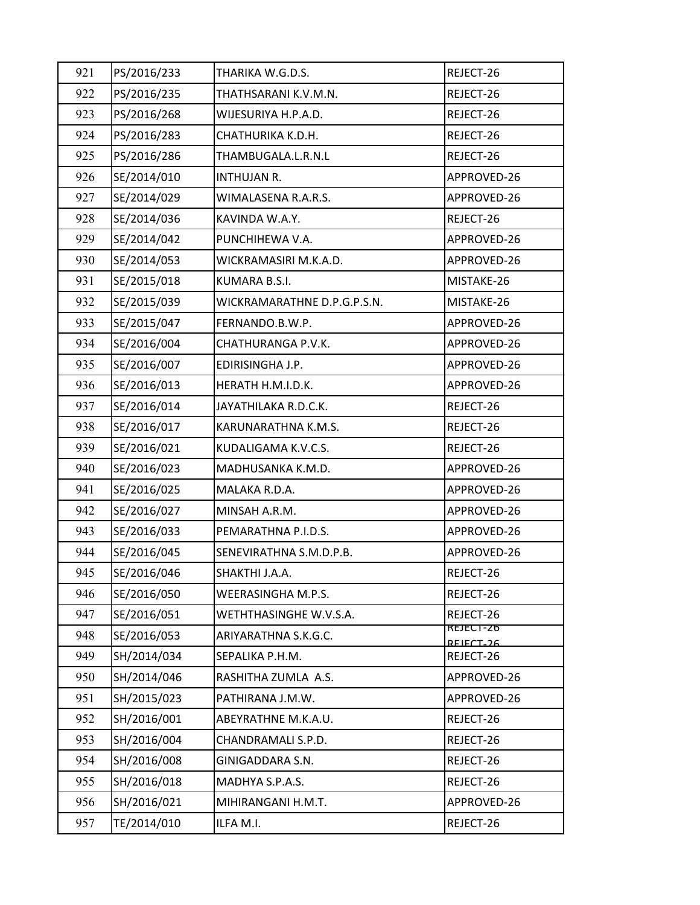| 921 | PS/2016/233 | THARIKA W.G.D.S.            | REJECT-26                          |
|-----|-------------|-----------------------------|------------------------------------|
| 922 | PS/2016/235 | THATHSARANI K.V.M.N.        | REJECT-26                          |
| 923 | PS/2016/268 | WIJESURIYA H.P.A.D.         | REJECT-26                          |
| 924 | PS/2016/283 | CHATHURIKA K.D.H.           | REJECT-26                          |
| 925 | PS/2016/286 | THAMBUGALA.L.R.N.L          | REJECT-26                          |
| 926 | SE/2014/010 | INTHUJAN R.                 | APPROVED-26                        |
| 927 | SE/2014/029 | WIMALASENA R.A.R.S.         | APPROVED-26                        |
| 928 | SE/2014/036 | KAVINDA W.A.Y.              | REJECT-26                          |
| 929 | SE/2014/042 | PUNCHIHEWA V.A.             | APPROVED-26                        |
| 930 | SE/2014/053 | WICKRAMASIRI M.K.A.D.       | APPROVED-26                        |
| 931 | SE/2015/018 | KUMARA B.S.I.               | MISTAKE-26                         |
| 932 | SE/2015/039 | WICKRAMARATHNE D.P.G.P.S.N. | MISTAKE-26                         |
| 933 | SE/2015/047 | FERNANDO.B.W.P.             | APPROVED-26                        |
| 934 | SE/2016/004 | CHATHURANGA P.V.K.          | APPROVED-26                        |
| 935 | SE/2016/007 | EDIRISINGHA J.P.            | APPROVED-26                        |
| 936 | SE/2016/013 | HERATH H.M.I.D.K.           | APPROVED-26                        |
| 937 | SE/2016/014 | JAYATHILAKA R.D.C.K.        | REJECT-26                          |
| 938 | SE/2016/017 | KARUNARATHNA K.M.S.         | REJECT-26                          |
| 939 | SE/2016/021 | KUDALIGAMA K.V.C.S.         | REJECT-26                          |
| 940 | SE/2016/023 | MADHUSANKA K.M.D.           | APPROVED-26                        |
| 941 | SE/2016/025 | MALAKA R.D.A.               | APPROVED-26                        |
| 942 | SE/2016/027 | MINSAH A.R.M.               | APPROVED-26                        |
| 943 | SE/2016/033 | PEMARATHNA P.I.D.S.         | APPROVED-26                        |
| 944 | SE/2016/045 | SENEVIRATHNA S.M.D.P.B.     | APPROVED-26                        |
| 945 | SE/2016/046 | SHAKTHI J.A.A.              | REJECT-26                          |
| 946 | SE/2016/050 | WEERASINGHA M.P.S.          | REJECT-26                          |
| 947 | SE/2016/051 | WETHTHASINGHE W.V.S.A.      | REJECT-26                          |
| 948 | SE/2016/053 | ARIYARATHNA S.K.G.C.        | KEJECI-Z6<br>REIECT <sub>-26</sub> |
| 949 | SH/2014/034 | SEPALIKA P.H.M.             | REJECT-26                          |
| 950 | SH/2014/046 | RASHITHA ZUMLA A.S.         | APPROVED-26                        |
| 951 | SH/2015/023 | PATHIRANA J.M.W.            | APPROVED-26                        |
| 952 | SH/2016/001 | ABEYRATHNE M.K.A.U.         | REJECT-26                          |
| 953 | SH/2016/004 | CHANDRAMALI S.P.D.          | REJECT-26                          |
| 954 | SH/2016/008 | GINIGADDARA S.N.            | REJECT-26                          |
| 955 | SH/2016/018 | MADHYA S.P.A.S.             | REJECT-26                          |
| 956 | SH/2016/021 | MIHIRANGANI H.M.T.          | APPROVED-26                        |
| 957 | TE/2014/010 | ILFA M.I.                   | REJECT-26                          |